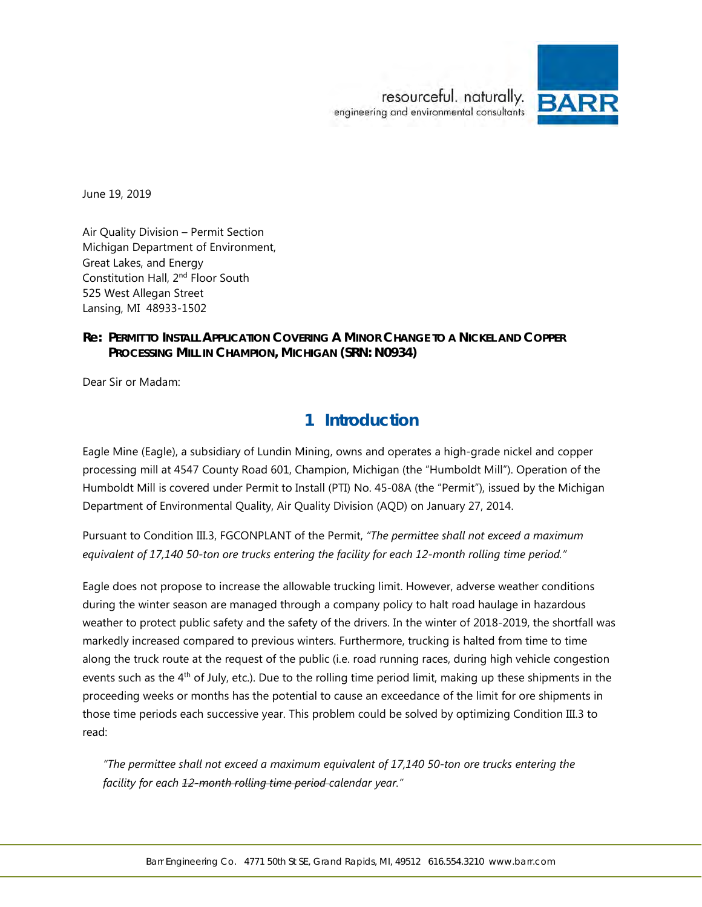

June 19, 2019

Air Quality Division – Permit Section Michigan Department of Environment, Great Lakes, and Energy Constitution Hall, 2nd Floor South 525 West Allegan Street Lansing, MI 48933-1502

## **Re: PERMIT TO INSTALL APPLICATION COVERING A MINOR CHANGE TO A NICKEL AND COPPER PROCESSING MILL IN CHAMPION, MICHIGAN (SRN: N0934)**

Dear Sir or Madam:

# **1 Introduction**

Eagle Mine (Eagle), a subsidiary of Lundin Mining, owns and operates a high-grade nickel and copper processing mill at 4547 County Road 601, Champion, Michigan (the "Humboldt Mill"). Operation of the Humboldt Mill is covered under Permit to Install (PTI) No. 45-08A (the "Permit"), issued by the Michigan Department of Environmental Quality, Air Quality Division (AQD) on January 27, 2014.

Pursuant to Condition III.3, FGCONPLANT of the Permit, *"The permittee shall not exceed a maximum equivalent of 17,140 50-ton ore trucks entering the facility for each 12-month rolling time period."*

Eagle does not propose to increase the allowable trucking limit. However, adverse weather conditions during the winter season are managed through a company policy to halt road haulage in hazardous weather to protect public safety and the safety of the drivers. In the winter of 2018-2019, the shortfall was markedly increased compared to previous winters. Furthermore, trucking is halted from time to time along the truck route at the request of the public (i.e. road running races, during high vehicle congestion events such as the  $4<sup>th</sup>$  of July, etc.). Due to the rolling time period limit, making up these shipments in the proceeding weeks or months has the potential to cause an exceedance of the limit for ore shipments in those time periods each successive year. This problem could be solved by optimizing Condition III.3 to read:

*"The permittee shall not exceed a maximum equivalent of 17,140 50-ton ore trucks entering the facility for each 12-month rolling time period calendar year."*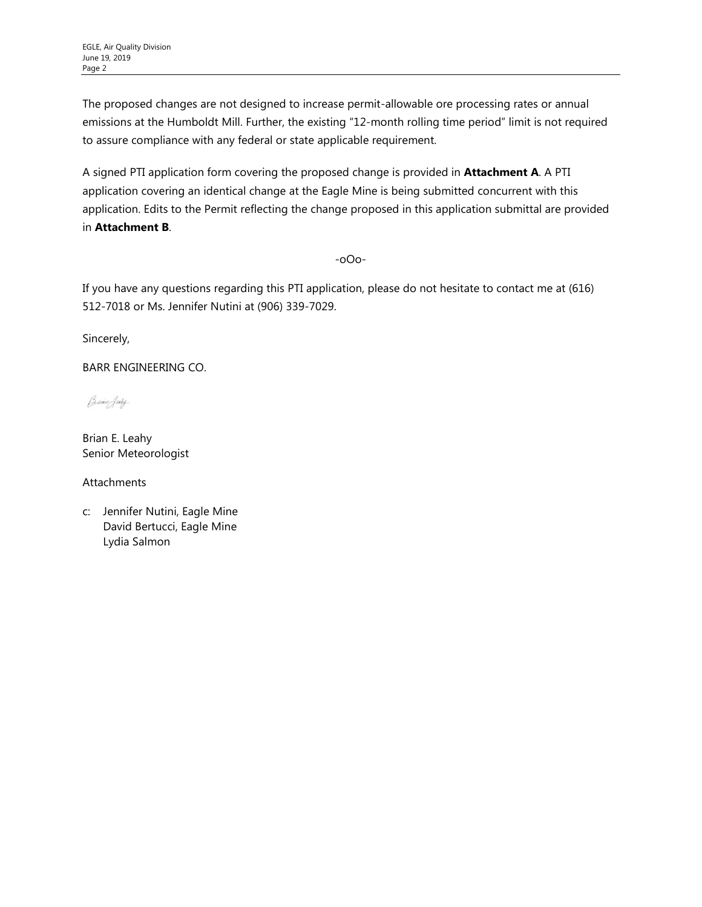The proposed changes are not designed to increase permit-allowable ore processing rates or annual emissions at the Humboldt Mill. Further, the existing "12-month rolling time period" limit is not required to assure compliance with any federal or state applicable requirement.

A signed PTI application form covering the proposed change is provided in **Attachment A**. A PTI application covering an identical change at the Eagle Mine is being submitted concurrent with this application. Edits to the Permit reflecting the change proposed in this application submittal are provided in **Attachment B**.

-oOo-

If you have any questions regarding this PTI application, please do not hesitate to contact me at (616) 512-7018 or Ms. Jennifer Nutini at (906) 339-7029.

Sincerely,

BARR ENGINEERING CO.

Buin Jury

Brian E. Leahy Senior Meteorologist

Attachments

c: Jennifer Nutini, Eagle Mine David Bertucci, Eagle Mine Lydia Salmon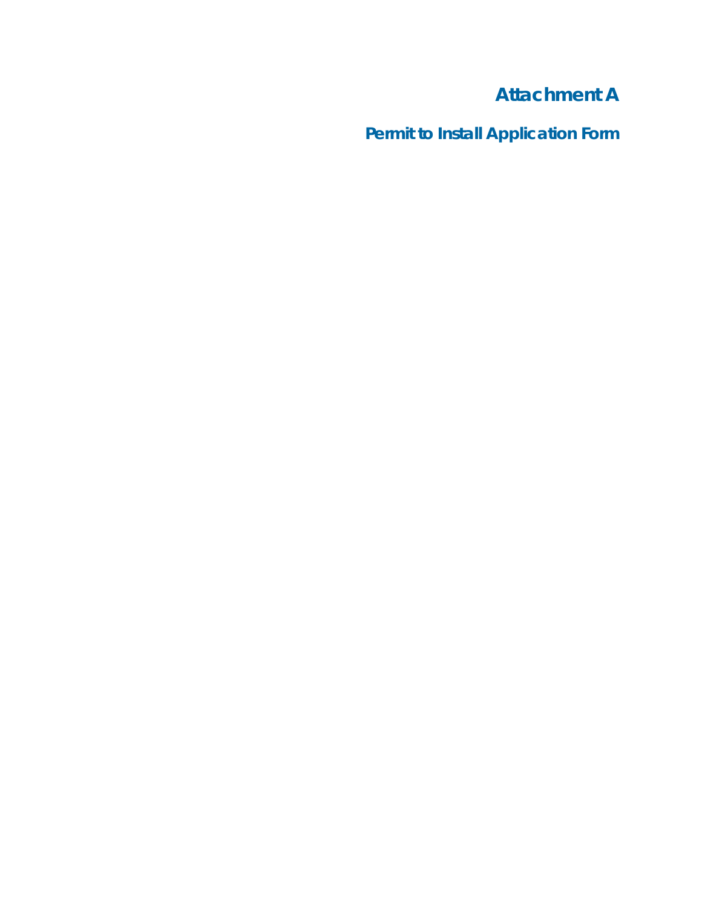# **Attachment A**

**Permit to Install Application Form**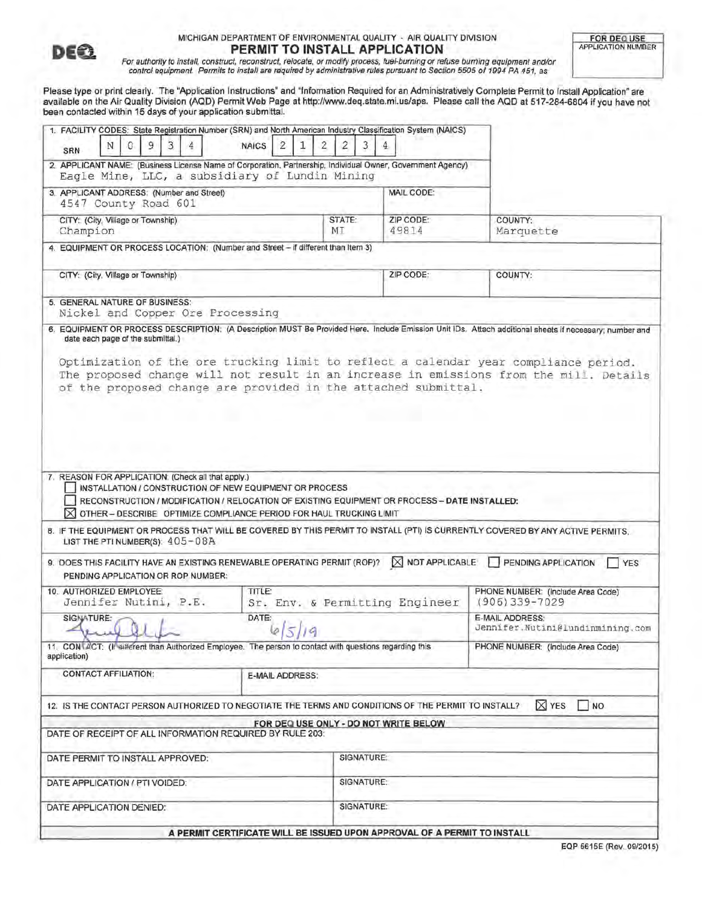

#### MICHIGAN DEPARTMENT OF ENVIRONMENTAL QUALITY - AIR QUALITY DIVISION **PERMIT TO INSTALL APPLICATION**

For authority to install, construct, reconstruct, relocate, or modify process, fuel-burning or refuse burning equipment and/or<br>control equipment. Permits to install are required by administrative rules pursuant to Section

Please type or print clearly. The "Application Instructions" and "Information Required for an Administratively Complete Permit to Install Application" are available on the Air Quality Division (AQD) Permit Web Page at http://www.deq.state.mi.us/aps. Please call the AQD at 517-284-6804 if you have not been contacted within 15 days of your application submittal.

| 1. FACILITY CODES: State Registration Number (SRN) and North American Industry Classification System (NAICS)<br>9<br>3<br>4<br>N<br>0<br>SRN                                                                                                                                                                                                                                                                                                                        | $\overline{2}$<br><b>NAICS</b><br>1                                      | $\overline{2}$<br>$\overline{2}$<br>3 | 4                                     |                                                                                                                                                                                                                                                                                                                                           |
|---------------------------------------------------------------------------------------------------------------------------------------------------------------------------------------------------------------------------------------------------------------------------------------------------------------------------------------------------------------------------------------------------------------------------------------------------------------------|--------------------------------------------------------------------------|---------------------------------------|---------------------------------------|-------------------------------------------------------------------------------------------------------------------------------------------------------------------------------------------------------------------------------------------------------------------------------------------------------------------------------------------|
| 2. APPLICANT NAME: (Business License Name of Corporation, Partnership, Individual Owner, Government Agency)<br>Eagle Mine, LLC, a subsidiary of Lundin Mining                                                                                                                                                                                                                                                                                                       |                                                                          |                                       |                                       |                                                                                                                                                                                                                                                                                                                                           |
| 3. APPLICANT ADDRESS: (Number and Street)<br>4547 County Road 601                                                                                                                                                                                                                                                                                                                                                                                                   |                                                                          |                                       | MAIL CODE:                            |                                                                                                                                                                                                                                                                                                                                           |
| CITY: (City, Village or Township)<br>Champion                                                                                                                                                                                                                                                                                                                                                                                                                       |                                                                          | STATE:<br>MT                          | ZIP CODE:<br>49814                    | COUNTY:<br>Marquette                                                                                                                                                                                                                                                                                                                      |
| 4. EQUIPMENT OR PROCESS LOCATION: (Number and Street - if different than Item 3)                                                                                                                                                                                                                                                                                                                                                                                    |                                                                          |                                       |                                       |                                                                                                                                                                                                                                                                                                                                           |
| CITY: (City, Village or Township)                                                                                                                                                                                                                                                                                                                                                                                                                                   |                                                                          |                                       | ZIP CODE:                             | COUNTY:                                                                                                                                                                                                                                                                                                                                   |
| 5. GENERAL NATURE OF BUSINESS:<br>Nickel and Copper Ore Processing                                                                                                                                                                                                                                                                                                                                                                                                  |                                                                          |                                       |                                       |                                                                                                                                                                                                                                                                                                                                           |
| date each page of the submittal.)<br>of the proposed change are provided in the attached submittal.                                                                                                                                                                                                                                                                                                                                                                 |                                                                          |                                       |                                       | 6. EQUIPMENT OR PROCESS DESCRIPTION: (A Description MUST Be Provided Here. Include Emission Unit IDs. Attach additional sheets if necessary; number and<br>Optimization of the ore trucking limit to reflect a calendar year compliance period.<br>The proposed change will not result in an increase in emissions from the mill. Details |
| 7. REASON FOR APPLICATION: (Check all that apply.)<br>INSTALLATION / CONSTRUCTION OF NEW EQUIPMENT OR PROCESS<br>RECONSTRUCTION / MODIFICATION / RELOCATION OF EXISTING EQUIPMENT OR PROCESS - DATE INSTALLED:<br><b>X OTHER- DESCRIBE OPTIMIZE COMPLIANCE PERIOD FOR HAUL TRUCKING LIMIT</b><br>8. IF THE EQUIPMENT OR PROCESS THAT WILL BE COVERED BY THIS PERMIT TO INSTALL (PTI) IS CURRENTLY COVERED BY ANY ACTIVE PERMITS.<br>LIST THE PTI NUMBER(S): 405-08A |                                                                          |                                       |                                       |                                                                                                                                                                                                                                                                                                                                           |
| 9. DOES THIS FACILITY HAVE AN EXISTING RENEWABLE OPERATING PERMIT (ROP)?<br>PENDING APPLICATION OR ROP NUMBER:                                                                                                                                                                                                                                                                                                                                                      |                                                                          |                                       | NOT APPLICABLE                        | <b>PENDING APPLICATION</b><br>YES                                                                                                                                                                                                                                                                                                         |
| 10. AUTHORIZED EMPLOYEE:<br>Jennifer Nutini, P.E.                                                                                                                                                                                                                                                                                                                                                                                                                   | TITLE:                                                                   |                                       | Sr. Env. & Permitting Engineer        | PHONE NUMBER: (Include Area Code)<br>$(906)339 - 7029$                                                                                                                                                                                                                                                                                    |
| SIGNATURE:<br>and the contract of the contract of the contract of the contract of the contract of the contract of the contract of the contract of the contract of the contract of the contract of the contract of the contract of the contra                                                                                                                                                                                                                        | DATE:<br>65/19                                                           |                                       |                                       | E-MAIL ADDRESS:<br>Jennifer.Nutini@lundinmining.com                                                                                                                                                                                                                                                                                       |
| 11. CONTACT: (If sifferent than Authorized Employee. The person to contact with questions regarding this<br>application)                                                                                                                                                                                                                                                                                                                                            |                                                                          |                                       |                                       | PHONE NUMBER: (Include Area Code)                                                                                                                                                                                                                                                                                                         |
| <b>CONTACT AFFILIATION:</b>                                                                                                                                                                                                                                                                                                                                                                                                                                         | E-MAIL ADDRESS:                                                          |                                       |                                       |                                                                                                                                                                                                                                                                                                                                           |
| 12. IS THE CONTACT PERSON AUTHORIZED TO NEGOTIATE THE TERMS AND CONDITIONS OF THE PERMIT TO INSTALL?                                                                                                                                                                                                                                                                                                                                                                |                                                                          |                                       | FOR DEQ USE ONLY - DO NOT WRITE BELOW | <b>X</b> YES<br>$\Box$ NO                                                                                                                                                                                                                                                                                                                 |
| DATE OF RECEIPT OF ALL INFORMATION REQUIRED BY RULE 203:                                                                                                                                                                                                                                                                                                                                                                                                            |                                                                          |                                       |                                       |                                                                                                                                                                                                                                                                                                                                           |
| DATE PERMIT TO INSTALL APPROVED:                                                                                                                                                                                                                                                                                                                                                                                                                                    |                                                                          | SIGNATURE:                            |                                       |                                                                                                                                                                                                                                                                                                                                           |
| DATE APPLICATION / PTI VOIDED:                                                                                                                                                                                                                                                                                                                                                                                                                                      |                                                                          | SIGNATURE:                            |                                       |                                                                                                                                                                                                                                                                                                                                           |
| DATE APPLICATION DENIED:                                                                                                                                                                                                                                                                                                                                                                                                                                            |                                                                          | SIGNATURE:                            |                                       |                                                                                                                                                                                                                                                                                                                                           |
|                                                                                                                                                                                                                                                                                                                                                                                                                                                                     | A PERMIT CERTIFICATE WILL BE ISSUED UPON APPROVAL OF A PERMIT TO INSTALL |                                       |                                       |                                                                                                                                                                                                                                                                                                                                           |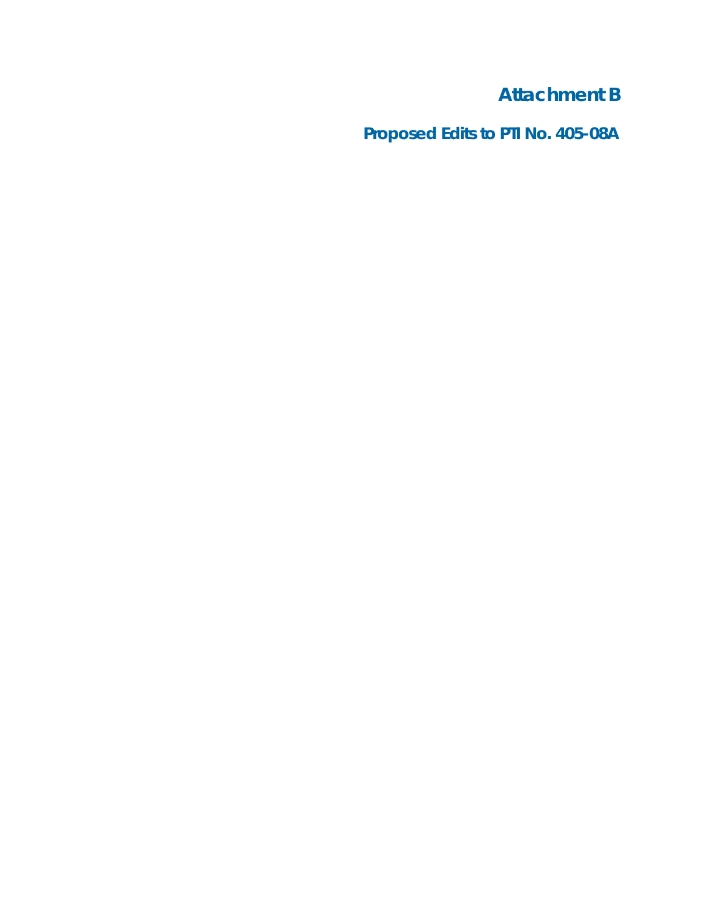**Attachment B**

**Proposed Edits to PTI No. 405-08A**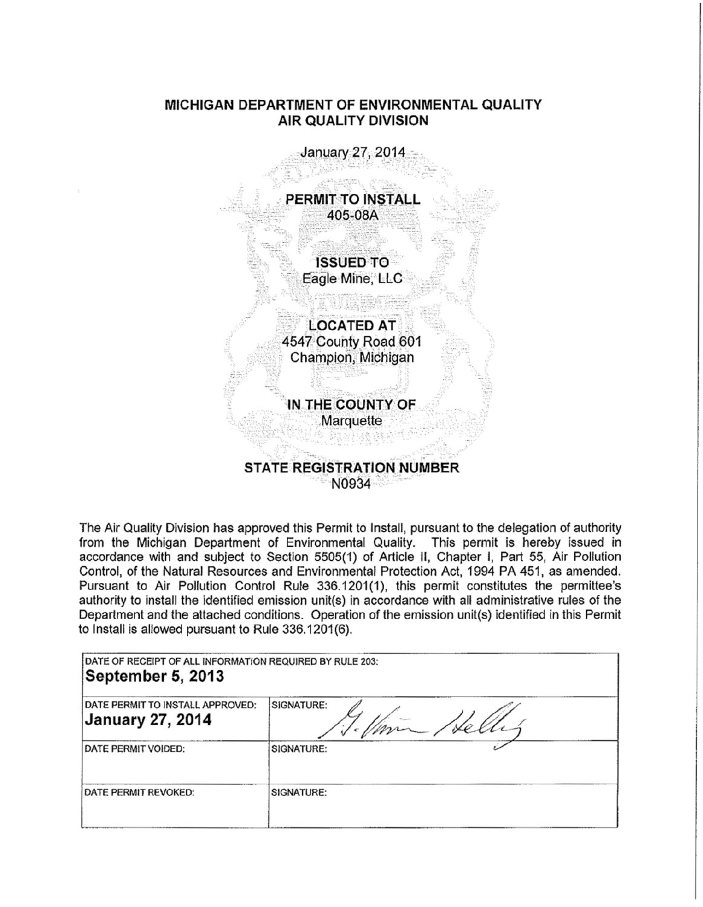## **MICHIGAN DEPARTMENT OF ENVIRONMENTAL QUALITY AIR QUALITY DIVISION**



The Air Quality Division has approved this Permit to Install, pursuant to the delegation of authority from the Michigan Department of Environmental Quality. This permit is hereby issued in accordance with and subject to Section 5505(1) of Article II, Chapter I, Part 55, Air Pollution Control, of the Natural Resources and Environmental Protection Act, 1994 PA 451, as amended. Pursuant to Air Pollution Control Rule 336.1201(1), this permit constitutes the permittee's authority to install the identified emission unit(s) in accordance with all administrative rules of the Department and the attached conditions. Operation of the emission unit(s) identified in this Permit to Install is allowed pursuant to Rule 336.1201 (6).

| DATE OF RECEIPT OF ALL INFORMATION REQUIRED BY RULE 203:<br>September 5, 2013 |                   |  |  |
|-------------------------------------------------------------------------------|-------------------|--|--|
| DATE PERMIT TO INSTALL APPROVED:<br>January 27, 2014                          | <b>SIGNATURE:</b> |  |  |
| <b>DATE PERMIT VOIDED:</b>                                                    | SIGNATURE:        |  |  |
| <b>IDATE PERMIT REVOKED:</b>                                                  | SIGNATURE:        |  |  |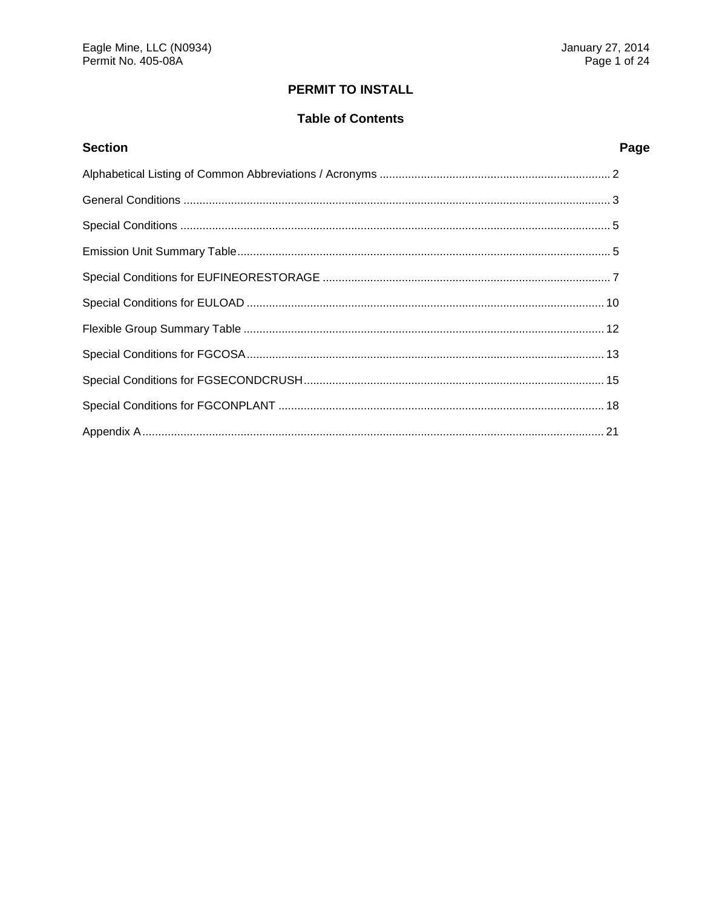# **PERMIT TO INSTALL**

# **Table of Contents**

| <b>Section</b> | Page |
|----------------|------|
|                |      |
|                |      |
|                |      |
|                |      |
|                |      |
|                |      |
|                |      |
|                |      |
|                |      |
|                |      |
|                |      |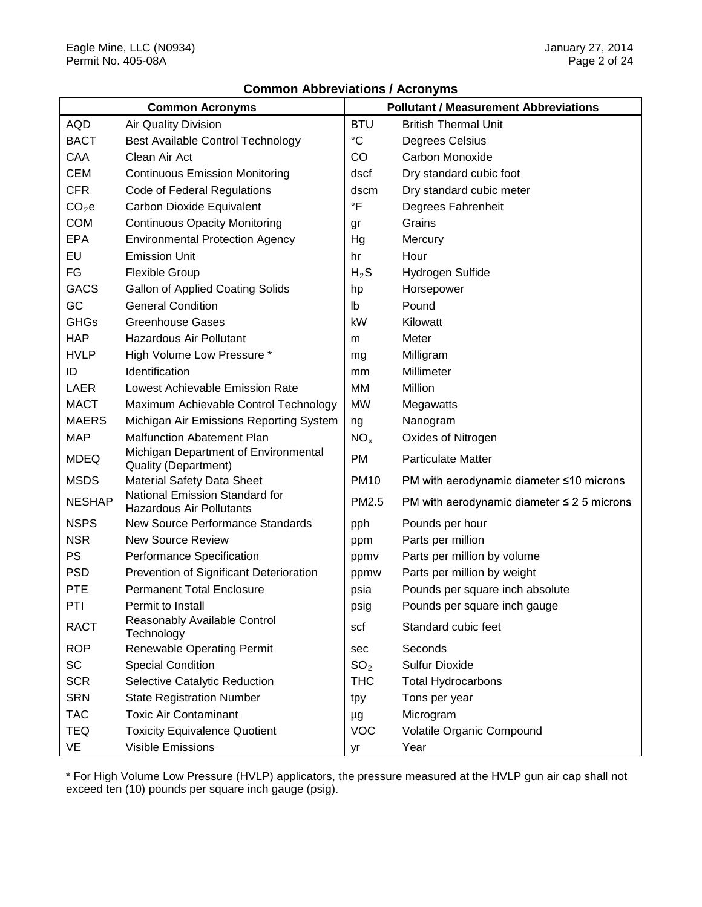|                   | <b>Common Acronyms</b>                                            |                 | <b>Pollutant / Measurement Abbreviations</b>    |
|-------------------|-------------------------------------------------------------------|-----------------|-------------------------------------------------|
| <b>AQD</b>        | Air Quality Division                                              | <b>BTU</b>      | <b>British Thermal Unit</b>                     |
| <b>BACT</b>       | <b>Best Available Control Technology</b>                          | $\rm ^{\circ}C$ | Degrees Celsius                                 |
| CAA               | Clean Air Act                                                     | CO              | Carbon Monoxide                                 |
| <b>CEM</b>        | <b>Continuous Emission Monitoring</b>                             | dscf            | Dry standard cubic foot                         |
| <b>CFR</b>        | Code of Federal Regulations                                       | dscm            | Dry standard cubic meter                        |
| CO <sub>2</sub> e | Carbon Dioxide Equivalent                                         | $\overline{F}$  | Degrees Fahrenheit                              |
| <b>COM</b>        | <b>Continuous Opacity Monitoring</b>                              | gr              | Grains                                          |
| <b>EPA</b>        | <b>Environmental Protection Agency</b>                            | Hg              | Mercury                                         |
| EU                | <b>Emission Unit</b>                                              | hr              | Hour                                            |
| FG                | <b>Flexible Group</b>                                             | $H_2S$          | Hydrogen Sulfide                                |
| <b>GACS</b>       | <b>Gallon of Applied Coating Solids</b>                           | hp              | Horsepower                                      |
| GC                | <b>General Condition</b>                                          | lb              | Pound                                           |
| <b>GHGs</b>       | <b>Greenhouse Gases</b>                                           | kW              | Kilowatt                                        |
| <b>HAP</b>        | Hazardous Air Pollutant                                           | m               | Meter                                           |
| <b>HVLP</b>       | High Volume Low Pressure *                                        | mg              | Milligram                                       |
| ID                | Identification                                                    | mm              | Millimeter                                      |
| <b>LAER</b>       | Lowest Achievable Emission Rate                                   | <b>MM</b>       | Million                                         |
| <b>MACT</b>       | Maximum Achievable Control Technology                             | <b>MW</b>       | Megawatts                                       |
| <b>MAERS</b>      | Michigan Air Emissions Reporting System                           | ng              | Nanogram                                        |
| <b>MAP</b>        | <b>Malfunction Abatement Plan</b>                                 | NO <sub>x</sub> | Oxides of Nitrogen                              |
| <b>MDEQ</b>       | Michigan Department of Environmental<br>Quality (Department)      | <b>PM</b>       | <b>Particulate Matter</b>                       |
| <b>MSDS</b>       | <b>Material Safety Data Sheet</b>                                 | <b>PM10</b>     | PM with aerodynamic diameter $\leq 10$ microns  |
| <b>NESHAP</b>     | National Emission Standard for<br><b>Hazardous Air Pollutants</b> | PM2.5           | PM with aerodynamic diameter $\leq$ 2.5 microns |
| <b>NSPS</b>       | <b>New Source Performance Standards</b>                           | pph             | Pounds per hour                                 |
| <b>NSR</b>        | <b>New Source Review</b>                                          | ppm             | Parts per million                               |
| PS                | Performance Specification                                         | ppmv            | Parts per million by volume                     |
| <b>PSD</b>        | Prevention of Significant Deterioration                           | ppmw            | Parts per million by weight                     |
| <b>PTE</b>        | <b>Permanent Total Enclosure</b>                                  | psia            | Pounds per square inch absolute                 |
| PTI               | Permit to Install                                                 | psig            | Pounds per square inch gauge                    |
| <b>RACT</b>       | Reasonably Available Control<br>Technology                        | scf             | Standard cubic feet                             |
| <b>ROP</b>        | <b>Renewable Operating Permit</b>                                 | sec             | Seconds                                         |
| SC                | <b>Special Condition</b>                                          | SO <sub>2</sub> | <b>Sulfur Dioxide</b>                           |
| <b>SCR</b>        | Selective Catalytic Reduction                                     | <b>THC</b>      | <b>Total Hydrocarbons</b>                       |
| <b>SRN</b>        | <b>State Registration Number</b>                                  | tpy             | Tons per year                                   |
| <b>TAC</b>        | <b>Toxic Air Contaminant</b>                                      | μg              | Microgram                                       |
| <b>TEQ</b>        | <b>Toxicity Equivalence Quotient</b>                              | <b>VOC</b>      | Volatile Organic Compound                       |
| VE                | Visible Emissions                                                 | yr              | Year                                            |

\* For High Volume Low Pressure (HVLP) applicators, the pressure measured at the HVLP gun air cap shall not exceed ten (10) pounds per square inch gauge (psig).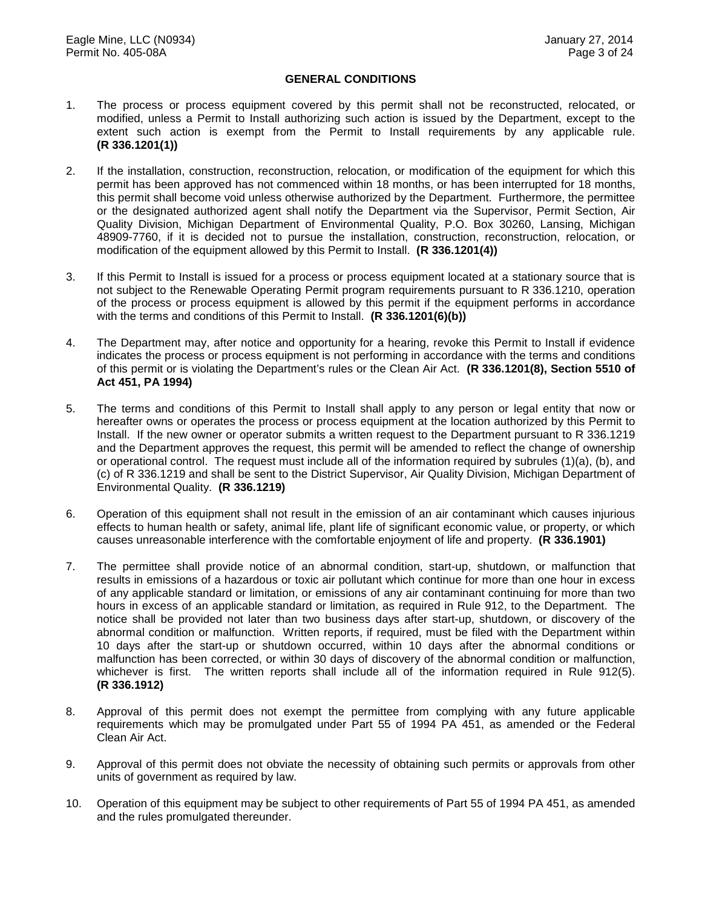#### **GENERAL CONDITIONS**

- 1. The process or process equipment covered by this permit shall not be reconstructed, relocated, or modified, unless a Permit to Install authorizing such action is issued by the Department, except to the extent such action is exempt from the Permit to Install requirements by any applicable rule. **(R 336.1201(1))**
- 2. If the installation, construction, reconstruction, relocation, or modification of the equipment for which this permit has been approved has not commenced within 18 months, or has been interrupted for 18 months, this permit shall become void unless otherwise authorized by the Department. Furthermore, the permittee or the designated authorized agent shall notify the Department via the Supervisor, Permit Section, Air Quality Division, Michigan Department of Environmental Quality, P.O. Box 30260, Lansing, Michigan 48909-7760, if it is decided not to pursue the installation, construction, reconstruction, relocation, or modification of the equipment allowed by this Permit to Install. **(R 336.1201(4))**
- 3. If this Permit to Install is issued for a process or process equipment located at a stationary source that is not subject to the Renewable Operating Permit program requirements pursuant to R 336.1210, operation of the process or process equipment is allowed by this permit if the equipment performs in accordance with the terms and conditions of this Permit to Install. **(R 336.1201(6)(b))**
- 4. The Department may, after notice and opportunity for a hearing, revoke this Permit to Install if evidence indicates the process or process equipment is not performing in accordance with the terms and conditions of this permit or is violating the Department's rules or the Clean Air Act. **(R 336.1201(8), Section 5510 of Act 451, PA 1994)**
- 5. The terms and conditions of this Permit to Install shall apply to any person or legal entity that now or hereafter owns or operates the process or process equipment at the location authorized by this Permit to Install. If the new owner or operator submits a written request to the Department pursuant to R 336.1219 and the Department approves the request, this permit will be amended to reflect the change of ownership or operational control. The request must include all of the information required by subrules (1)(a), (b), and (c) of R 336.1219 and shall be sent to the District Supervisor, Air Quality Division, Michigan Department of Environmental Quality. **(R 336.1219)**
- 6. Operation of this equipment shall not result in the emission of an air contaminant which causes injurious effects to human health or safety, animal life, plant life of significant economic value, or property, or which causes unreasonable interference with the comfortable enjoyment of life and property. **(R 336.1901)**
- 7. The permittee shall provide notice of an abnormal condition, start-up, shutdown, or malfunction that results in emissions of a hazardous or toxic air pollutant which continue for more than one hour in excess of any applicable standard or limitation, or emissions of any air contaminant continuing for more than two hours in excess of an applicable standard or limitation, as required in Rule 912, to the Department. The notice shall be provided not later than two business days after start-up, shutdown, or discovery of the abnormal condition or malfunction. Written reports, if required, must be filed with the Department within 10 days after the start-up or shutdown occurred, within 10 days after the abnormal conditions or malfunction has been corrected, or within 30 days of discovery of the abnormal condition or malfunction, whichever is first. The written reports shall include all of the information required in Rule 912(5). **(R 336.1912)**
- 8. Approval of this permit does not exempt the permittee from complying with any future applicable requirements which may be promulgated under Part 55 of 1994 PA 451, as amended or the Federal Clean Air Act.
- 9. Approval of this permit does not obviate the necessity of obtaining such permits or approvals from other units of government as required by law.
- 10. Operation of this equipment may be subject to other requirements of Part 55 of 1994 PA 451, as amended and the rules promulgated thereunder.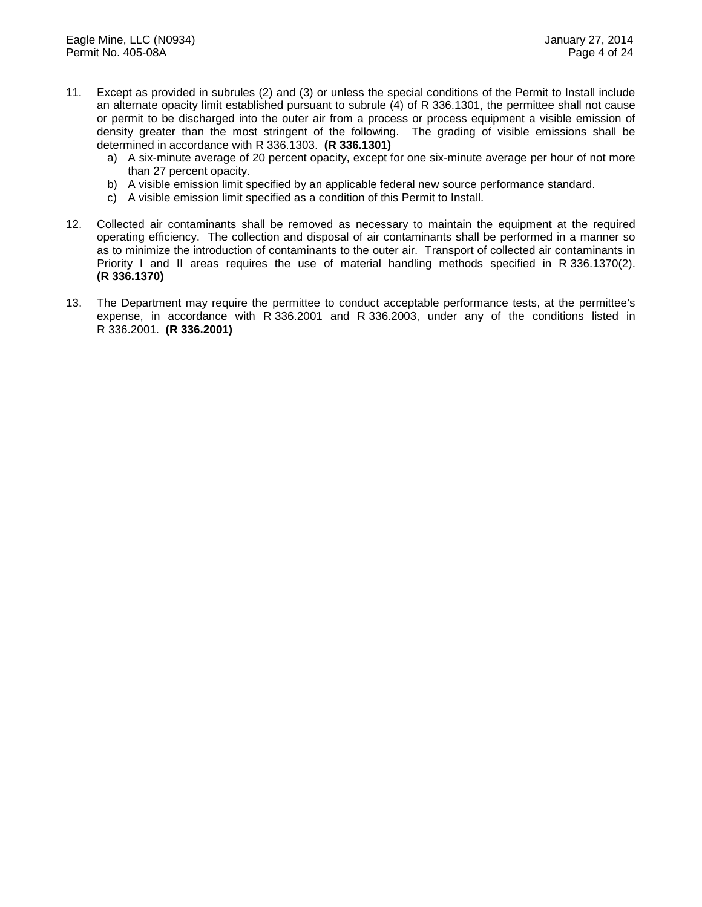- 11. Except as provided in subrules (2) and (3) or unless the special conditions of the Permit to Install include an alternate opacity limit established pursuant to subrule (4) of R 336.1301, the permittee shall not cause or permit to be discharged into the outer air from a process or process equipment a visible emission of density greater than the most stringent of the following. The grading of visible emissions shall be determined in accordance with R 336.1303. **(R 336.1301)** 
	- a) A six-minute average of 20 percent opacity, except for one six-minute average per hour of not more than 27 percent opacity.
	- b) A visible emission limit specified by an applicable federal new source performance standard.
	- c) A visible emission limit specified as a condition of this Permit to Install.
- 12. Collected air contaminants shall be removed as necessary to maintain the equipment at the required operating efficiency. The collection and disposal of air contaminants shall be performed in a manner so as to minimize the introduction of contaminants to the outer air. Transport of collected air contaminants in Priority I and II areas requires the use of material handling methods specified in R 336.1370(2). **(R 336.1370)**
- 13. The Department may require the permittee to conduct acceptable performance tests, at the permittee's expense, in accordance with R 336.2001 and R 336.2003, under any of the conditions listed in R 336.2001. **(R 336.2001)**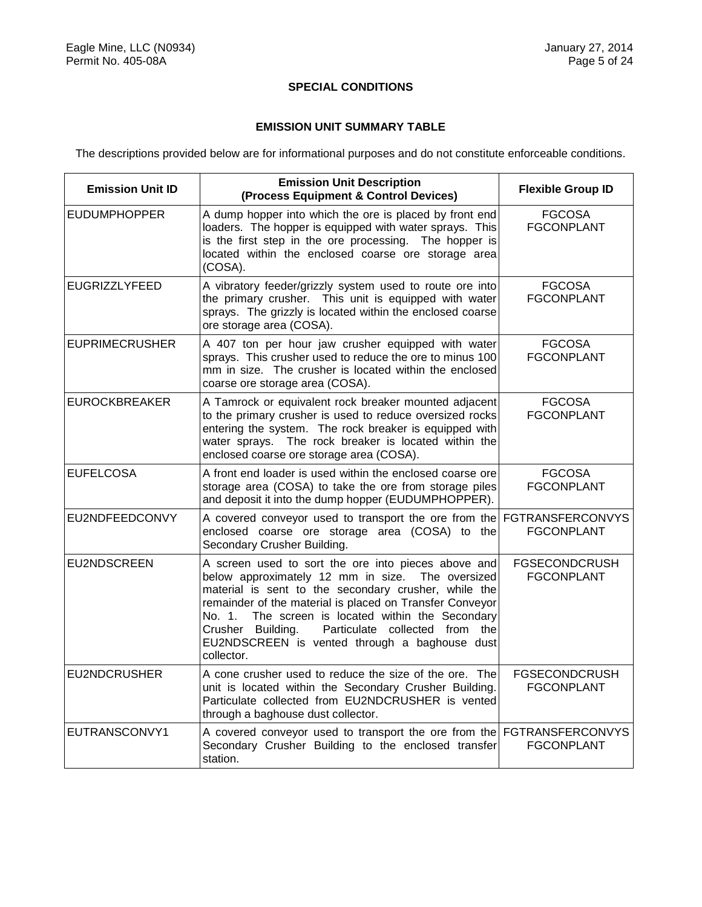### **SPECIAL CONDITIONS**

#### **EMISSION UNIT SUMMARY TABLE**

The descriptions provided below are for informational purposes and do not constitute enforceable conditions.

| <b>Emission Unit ID</b> | <b>Emission Unit Description</b><br>(Process Equipment & Control Devices)                                                                                                                                                                                                                                                                                                                                 | <b>Flexible Group ID</b>                     |
|-------------------------|-----------------------------------------------------------------------------------------------------------------------------------------------------------------------------------------------------------------------------------------------------------------------------------------------------------------------------------------------------------------------------------------------------------|----------------------------------------------|
| <b>EUDUMPHOPPER</b>     | A dump hopper into which the ore is placed by front end<br>loaders. The hopper is equipped with water sprays. This<br>is the first step in the ore processing. The hopper is<br>located within the enclosed coarse ore storage area<br>(COSA).                                                                                                                                                            | <b>FGCOSA</b><br><b>FGCONPLANT</b>           |
| <b>EUGRIZZLYFEED</b>    | A vibratory feeder/grizzly system used to route ore into<br>the primary crusher. This unit is equipped with water<br>sprays. The grizzly is located within the enclosed coarse<br>ore storage area (COSA).                                                                                                                                                                                                | <b>FGCOSA</b><br>FGCONPLANT                  |
| <b>EUPRIMECRUSHER</b>   | A 407 ton per hour jaw crusher equipped with water<br>sprays. This crusher used to reduce the ore to minus 100<br>mm in size. The crusher is located within the enclosed<br>coarse ore storage area (COSA).                                                                                                                                                                                               | <b>FGCOSA</b><br><b>FGCONPLANT</b>           |
| <b>EUROCKBREAKER</b>    | A Tamrock or equivalent rock breaker mounted adjacent<br>to the primary crusher is used to reduce oversized rocks<br>entering the system. The rock breaker is equipped with<br>water sprays. The rock breaker is located within the<br>enclosed coarse ore storage area (COSA).                                                                                                                           | <b>FGCOSA</b><br>FGCONPLANT                  |
| <b>EUFELCOSA</b>        | A front end loader is used within the enclosed coarse ore<br>storage area (COSA) to take the ore from storage piles<br>and deposit it into the dump hopper (EUDUMPHOPPER).                                                                                                                                                                                                                                | <b>FGCOSA</b><br>FGCONPLANT                  |
| EU2NDFEEDCONVY          | A covered conveyor used to transport the ore from the<br>enclosed coarse ore storage area (COSA) to the<br>Secondary Crusher Building.                                                                                                                                                                                                                                                                    | <b>FGTRANSFERCONVYS</b><br><b>FGCONPLANT</b> |
| EU2NDSCREEN             | A screen used to sort the ore into pieces above and<br>below approximately 12 mm in size. The oversized<br>material is sent to the secondary crusher, while the<br>remainder of the material is placed on Transfer Conveyor<br>The screen is located within the Secondary<br>No. 1.<br>Particulate collected from the<br>Crusher Building.<br>EU2NDSCREEN is vented through a baghouse dust<br>collector. | <b>FGSECONDCRUSH</b><br><b>FGCONPLANT</b>    |
| <b>EU2NDCRUSHER</b>     | A cone crusher used to reduce the size of the ore. The<br>unit is located within the Secondary Crusher Building.<br>Particulate collected from EU2NDCRUSHER is vented<br>through a baghouse dust collector.                                                                                                                                                                                               | <b>FGSECONDCRUSH</b><br><b>FGCONPLANT</b>    |
| EUTRANSCONVY1           | A covered conveyor used to transport the ore from the FGTRANSFERCONVYS<br>Secondary Crusher Building to the enclosed transfer<br>station.                                                                                                                                                                                                                                                                 | <b>FGCONPLANT</b>                            |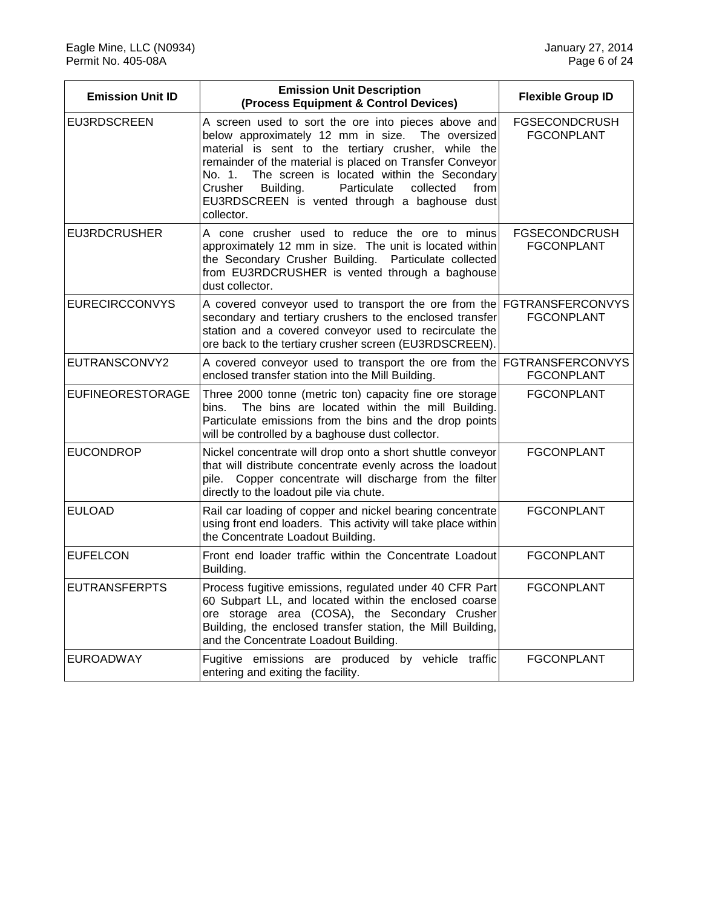| <b>Emission Unit ID</b> | <b>Emission Unit Description</b><br>(Process Equipment & Control Devices)                                                                                                                                                                                                                                                                                                                                     | <b>Flexible Group ID</b>                     |
|-------------------------|---------------------------------------------------------------------------------------------------------------------------------------------------------------------------------------------------------------------------------------------------------------------------------------------------------------------------------------------------------------------------------------------------------------|----------------------------------------------|
| EU3RDSCREEN             | A screen used to sort the ore into pieces above and<br>below approximately 12 mm in size. The oversized<br>material is sent to the tertiary crusher, while the<br>remainder of the material is placed on Transfer Conveyor<br>The screen is located within the Secondary<br>No. 1.<br>Crusher<br>Building.<br>Particulate<br>collected<br>from<br>EU3RDSCREEN is vented through a baghouse dust<br>collector. | <b>FGSECONDCRUSH</b><br><b>FGCONPLANT</b>    |
| <b>EU3RDCRUSHER</b>     | A cone crusher used to reduce the ore to minus<br>approximately 12 mm in size. The unit is located within<br>the Secondary Crusher Building.<br>Particulate collected<br>from EU3RDCRUSHER is vented through a baghouse<br>dust collector.                                                                                                                                                                    | <b>FGSECONDCRUSH</b><br><b>FGCONPLANT</b>    |
| <b>EURECIRCCONVYS</b>   | A covered conveyor used to transport the ore from the<br>secondary and tertiary crushers to the enclosed transfer<br>station and a covered conveyor used to recirculate the<br>ore back to the tertiary crusher screen (EU3RDSCREEN).                                                                                                                                                                         | <b>FGTRANSFERCONVYS</b><br><b>FGCONPLANT</b> |
| EUTRANSCONVY2           | A covered conveyor used to transport the ore from the<br>enclosed transfer station into the Mill Building.                                                                                                                                                                                                                                                                                                    | <b>FGTRANSFERCONVYS</b><br><b>FGCONPLANT</b> |
| <b>EUFINEORESTORAGE</b> | Three 2000 tonne (metric ton) capacity fine ore storage<br>The bins are located within the mill Building.<br>bins.<br>Particulate emissions from the bins and the drop points<br>will be controlled by a baghouse dust collector.                                                                                                                                                                             | <b>FGCONPLANT</b>                            |
| <b>EUCONDROP</b>        | Nickel concentrate will drop onto a short shuttle conveyor<br>that will distribute concentrate evenly across the loadout<br>Copper concentrate will discharge from the filter<br>pile.<br>directly to the loadout pile via chute.                                                                                                                                                                             | <b>FGCONPLANT</b>                            |
| <b>EULOAD</b>           | Rail car loading of copper and nickel bearing concentrate<br>using front end loaders. This activity will take place within<br>the Concentrate Loadout Building.                                                                                                                                                                                                                                               | <b>FGCONPLANT</b>                            |
| <b>EUFELCON</b>         | Front end loader traffic within the Concentrate Loadout<br>Building.                                                                                                                                                                                                                                                                                                                                          | <b>FGCONPLANT</b>                            |
| <b>EUTRANSFERPTS</b>    | Process fugitive emissions, regulated under 40 CFR Part<br>60 Subpart LL, and located within the enclosed coarse<br>ore storage area (COSA), the Secondary Crusher<br>Building, the enclosed transfer station, the Mill Building,<br>and the Concentrate Loadout Building.                                                                                                                                    | <b>FGCONPLANT</b>                            |
| <b>EUROADWAY</b>        | Fugitive emissions are produced by vehicle traffic<br>entering and exiting the facility.                                                                                                                                                                                                                                                                                                                      | <b>FGCONPLANT</b>                            |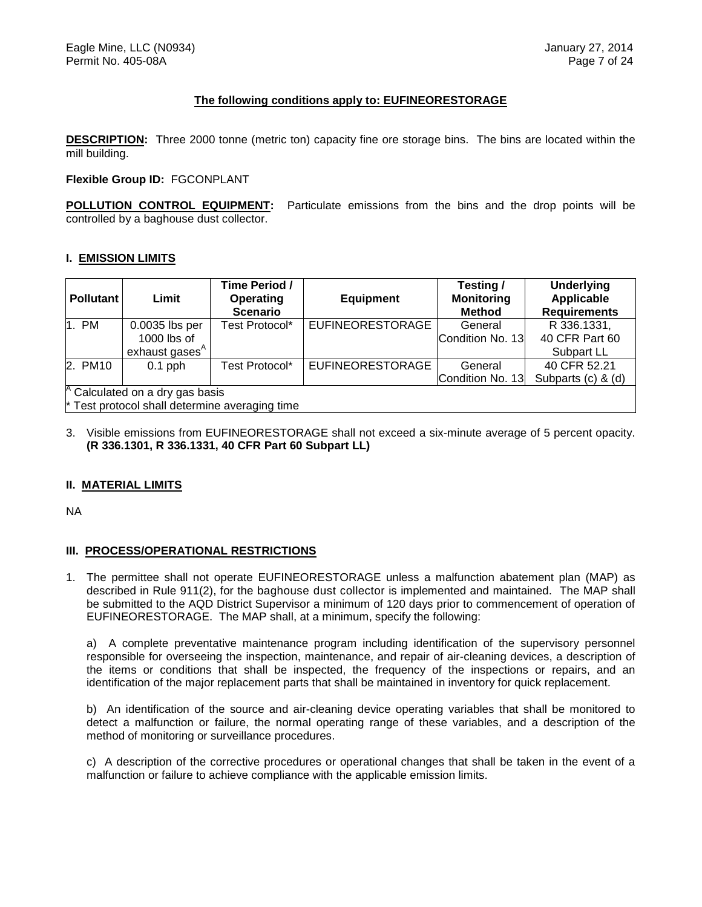#### **The following conditions apply to: EUFINEORESTORAGE**

**DESCRIPTION:** Three 2000 tonne (metric ton) capacity fine ore storage bins. The bins are located within the mill building.

#### **Flexible Group ID:** FGCONPLANT

**POLLUTION CONTROL EQUIPMENT:** Particulate emissions from the bins and the drop points will be controlled by a baghouse dust collector.

#### **I. EMISSION LIMITS**

| <b>Pollutant</b>                               | Limit                      | Time Period /<br>Operating<br><b>Scenario</b> | <b>Equipment</b>        | Testing/<br><b>Monitoring</b><br><b>Method</b> | <b>Underlying</b><br><b>Applicable</b><br><b>Requirements</b> |
|------------------------------------------------|----------------------------|-----------------------------------------------|-------------------------|------------------------------------------------|---------------------------------------------------------------|
| 1. PM                                          | 0.0035 lbs per             | Test Protocol*                                | <b>EUFINEORESTORAGE</b> | General                                        | R 336.1331,                                                   |
|                                                | $1000$ lbs of              |                                               |                         | Condition No. 13                               | 40 CFR Part 60                                                |
|                                                | exhaust gases <sup>A</sup> |                                               |                         |                                                | Subpart LL                                                    |
| 2. PM10                                        | $0.1$ pph                  | Test Protocol*                                | <b>EUFINEORESTORAGE</b> | General                                        | 40 CFR 52.21                                                  |
|                                                |                            |                                               |                         | Condition No. 13                               | Subparts (c) & (d)                                            |
| $^{\mathsf{A}}$ Calculated on a dry gas basis  |                            |                                               |                         |                                                |                                                               |
| * Test protocol shall determine averaging time |                            |                                               |                         |                                                |                                                               |

3. Visible emissions from EUFINEORESTORAGE shall not exceed a six-minute average of 5 percent opacity. **(R 336.1301, R 336.1331, 40 CFR Part 60 Subpart LL)**

#### **II. MATERIAL LIMITS**

NA

#### **III. PROCESS/OPERATIONAL RESTRICTIONS**

1. The permittee shall not operate EUFINEORESTORAGE unless a malfunction abatement plan (MAP) as described in Rule 911(2), for the baghouse dust collector is implemented and maintained. The MAP shall be submitted to the AQD District Supervisor a minimum of 120 days prior to commencement of operation of EUFINEORESTORAGE. The MAP shall, at a minimum, specify the following:

a) A complete preventative maintenance program including identification of the supervisory personnel responsible for overseeing the inspection, maintenance, and repair of air-cleaning devices, a description of the items or conditions that shall be inspected, the frequency of the inspections or repairs, and an identification of the major replacement parts that shall be maintained in inventory for quick replacement.

b) An identification of the source and air-cleaning device operating variables that shall be monitored to detect a malfunction or failure, the normal operating range of these variables, and a description of the method of monitoring or surveillance procedures.

c) A description of the corrective procedures or operational changes that shall be taken in the event of a malfunction or failure to achieve compliance with the applicable emission limits.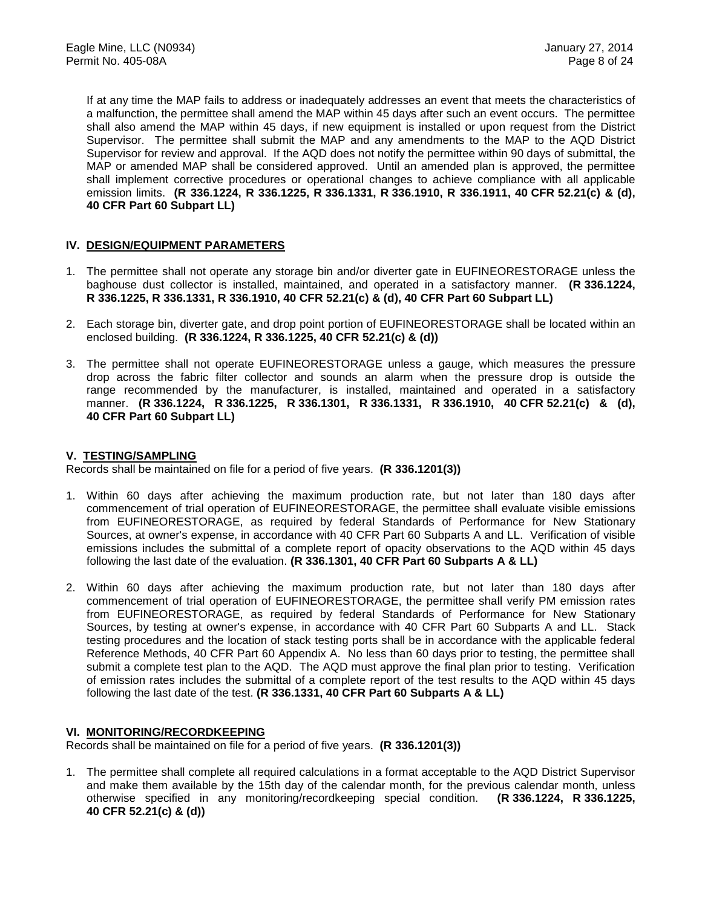If at any time the MAP fails to address or inadequately addresses an event that meets the characteristics of a malfunction, the permittee shall amend the MAP within 45 days after such an event occurs. The permittee shall also amend the MAP within 45 days, if new equipment is installed or upon request from the District Supervisor. The permittee shall submit the MAP and any amendments to the MAP to the AQD District Supervisor for review and approval. If the AQD does not notify the permittee within 90 days of submittal, the MAP or amended MAP shall be considered approved. Until an amended plan is approved, the permittee shall implement corrective procedures or operational changes to achieve compliance with all applicable emission limits. **(R 336.1224, R 336.1225, R 336.1331, R 336.1910, R 336.1911, 40 CFR 52.21(c) & (d), 40 CFR Part 60 Subpart LL)**

#### **IV. DESIGN/EQUIPMENT PARAMETERS**

- 1. The permittee shall not operate any storage bin and/or diverter gate in EUFINEORESTORAGE unless the baghouse dust collector is installed, maintained, and operated in a satisfactory manner. **(R 336.1224, R 336.1225, R 336.1331, R 336.1910, 40 CFR 52.21(c) & (d), 40 CFR Part 60 Subpart LL)**
- 2. Each storage bin, diverter gate, and drop point portion of EUFINEORESTORAGE shall be located within an enclosed building. **(R 336.1224, R 336.1225, 40 CFR 52.21(c) & (d))**
- 3. The permittee shall not operate EUFINEORESTORAGE unless a gauge, which measures the pressure drop across the fabric filter collector and sounds an alarm when the pressure drop is outside the range recommended by the manufacturer, is installed, maintained and operated in a satisfactory manner. **(R 336.1224, R 336.1225, R 336.1301, R 336.1331, R 336.1910, 40 CFR 52.21(c) & (d), 40 CFR Part 60 Subpart LL)**

#### **V. TESTING/SAMPLING**

Records shall be maintained on file for a period of five years. **(R 336.1201(3))**

- 1. Within 60 days after achieving the maximum production rate, but not later than 180 days after commencement of trial operation of EUFINEORESTORAGE, the permittee shall evaluate visible emissions from EUFINEORESTORAGE, as required by federal Standards of Performance for New Stationary Sources, at owner's expense, in accordance with 40 CFR Part 60 Subparts A and LL. Verification of visible emissions includes the submittal of a complete report of opacity observations to the AQD within 45 days following the last date of the evaluation. **(R 336.1301, 40 CFR Part 60 Subparts A & LL)**
- 2. Within 60 days after achieving the maximum production rate, but not later than 180 days after commencement of trial operation of EUFINEORESTORAGE, the permittee shall verify PM emission rates from EUFINEORESTORAGE, as required by federal Standards of Performance for New Stationary Sources, by testing at owner's expense, in accordance with 40 CFR Part 60 Subparts A and LL. Stack testing procedures and the location of stack testing ports shall be in accordance with the applicable federal Reference Methods, 40 CFR Part 60 Appendix A. No less than 60 days prior to testing, the permittee shall submit a complete test plan to the AQD. The AQD must approve the final plan prior to testing. Verification of emission rates includes the submittal of a complete report of the test results to the AQD within 45 days following the last date of the test. **(R 336.1331, 40 CFR Part 60 Subparts A & LL)**

#### **VI. MONITORING/RECORDKEEPING**

Records shall be maintained on file for a period of five years. **(R 336.1201(3))**

1. The permittee shall complete all required calculations in a format acceptable to the AQD District Supervisor and make them available by the 15th day of the calendar month, for the previous calendar month, unless otherwise specified in any monitoring/recordkeeping special condition. **(R 336.1224, R 336.1225, 40 CFR 52.21(c) & (d))**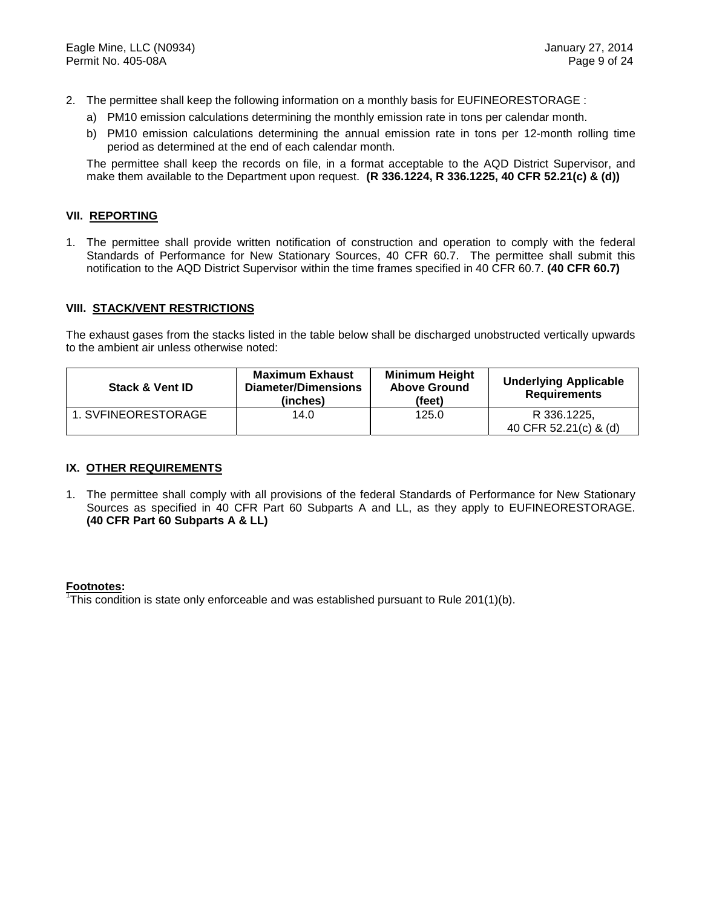- 2. The permittee shall keep the following information on a monthly basis for EUFINEORESTORAGE :
	- a) PM10 emission calculations determining the monthly emission rate in tons per calendar month.
	- b) PM10 emission calculations determining the annual emission rate in tons per 12-month rolling time period as determined at the end of each calendar month.

The permittee shall keep the records on file, in a format acceptable to the AQD District Supervisor, and make them available to the Department upon request. **(R 336.1224, R 336.1225, 40 CFR 52.21(c) & (d))**

#### **VII. REPORTING**

1. The permittee shall provide written notification of construction and operation to comply with the federal Standards of Performance for New Stationary Sources, 40 CFR 60.7. The permittee shall submit this notification to the AQD District Supervisor within the time frames specified in 40 CFR 60.7. **(40 CFR 60.7)**

#### **VIII. STACK/VENT RESTRICTIONS**

The exhaust gases from the stacks listed in the table below shall be discharged unobstructed vertically upwards to the ambient air unless otherwise noted:

| <b>Stack &amp; Vent ID</b>  | <b>Maximum Exhaust</b><br>Diameter/Dimensions<br>(inches) | <b>Minimum Height</b><br><b>Above Ground</b><br>(feet) | <b>Underlying Applicable</b><br><b>Requirements</b> |
|-----------------------------|-----------------------------------------------------------|--------------------------------------------------------|-----------------------------------------------------|
| 1. SVFINEORESTORAGE<br>14.0 |                                                           | 125.0                                                  | R 336.1225.<br>40 CFR 52.21(c) & (d)                |

#### **IX. OTHER REQUIREMENTS**

1. The permittee shall comply with all provisions of the federal Standards of Performance for New Stationary Sources as specified in 40 CFR Part 60 Subparts A and LL, as they apply to EUFINEORESTORAGE. **(40 CFR Part 60 Subparts A & LL)**

#### **Footnotes:**

<sup>1</sup>This condition is state only enforceable and was established pursuant to Rule 201(1)(b).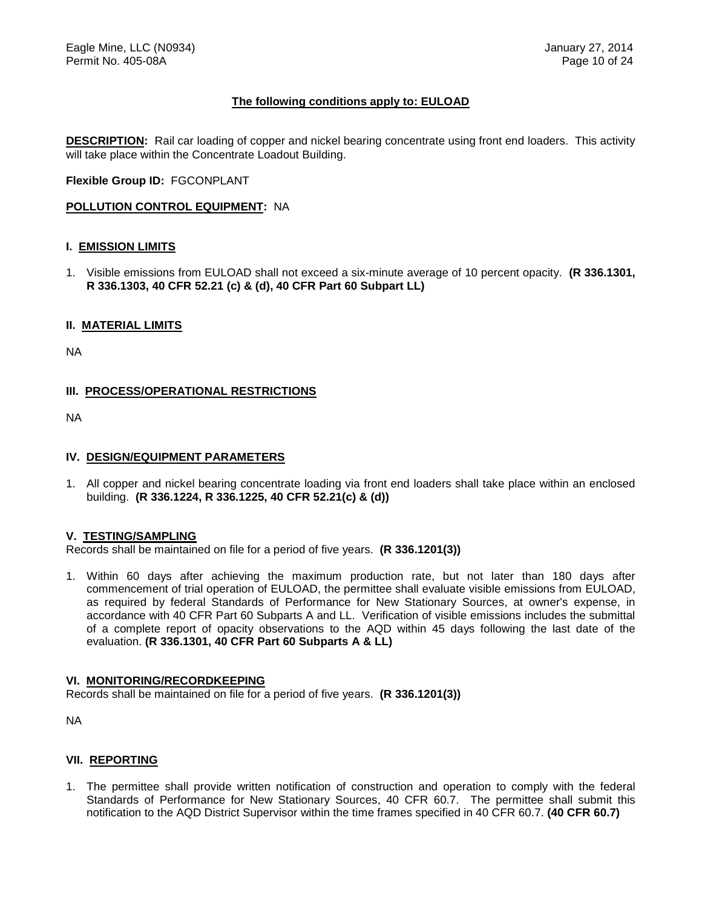#### **The following conditions apply to: EULOAD**

**DESCRIPTION:** Rail car loading of copper and nickel bearing concentrate using front end loaders. This activity will take place within the Concentrate Loadout Building.

**Flexible Group ID:** FGCONPLANT

#### **POLLUTION CONTROL EQUIPMENT:** NA

#### **I. EMISSION LIMITS**

1. Visible emissions from EULOAD shall not exceed a six-minute average of 10 percent opacity. **(R 336.1301, R 336.1303, 40 CFR 52.21 (c) & (d), 40 CFR Part 60 Subpart LL)**

#### **II. MATERIAL LIMITS**

NA

#### **III. PROCESS/OPERATIONAL RESTRICTIONS**

NA

#### **IV. DESIGN/EQUIPMENT PARAMETERS**

1. All copper and nickel bearing concentrate loading via front end loaders shall take place within an enclosed building. **(R 336.1224, R 336.1225, 40 CFR 52.21(c) & (d))**

#### **V. TESTING/SAMPLING**

Records shall be maintained on file for a period of five years. **(R 336.1201(3))**

1. Within 60 days after achieving the maximum production rate, but not later than 180 days after commencement of trial operation of EULOAD, the permittee shall evaluate visible emissions from EULOAD, as required by federal Standards of Performance for New Stationary Sources, at owner's expense, in accordance with 40 CFR Part 60 Subparts A and LL. Verification of visible emissions includes the submittal of a complete report of opacity observations to the AQD within 45 days following the last date of the evaluation. **(R 336.1301, 40 CFR Part 60 Subparts A & LL)**

#### **VI. MONITORING/RECORDKEEPING**

Records shall be maintained on file for a period of five years. **(R 336.1201(3))**

NA

#### **VII. REPORTING**

1. The permittee shall provide written notification of construction and operation to comply with the federal Standards of Performance for New Stationary Sources, 40 CFR 60.7. The permittee shall submit this notification to the AQD District Supervisor within the time frames specified in 40 CFR 60.7. **(40 CFR 60.7)**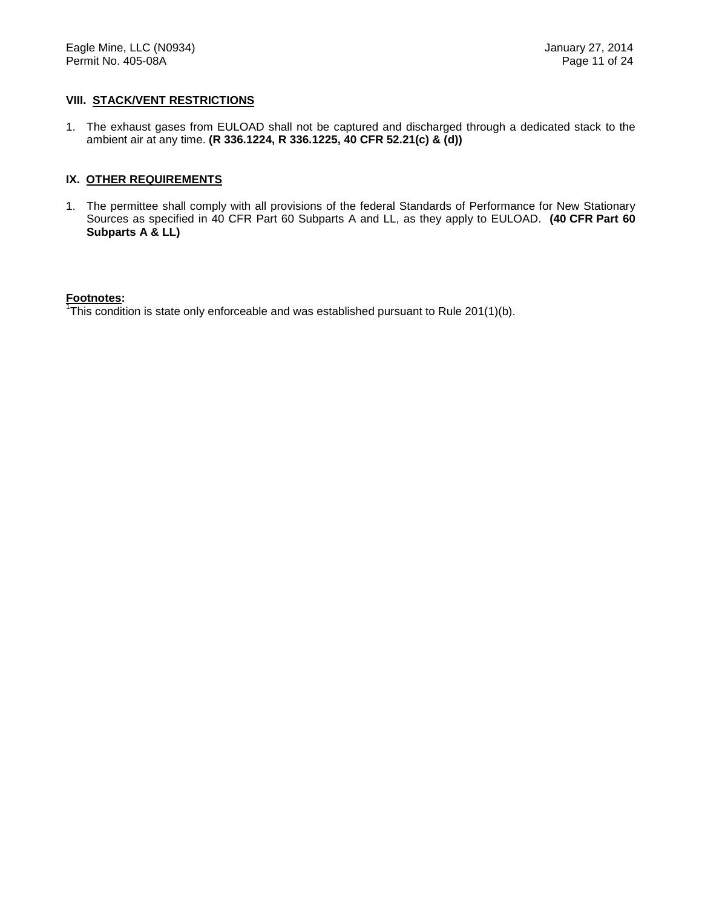#### **VIII. STACK/VENT RESTRICTIONS**

1. The exhaust gases from EULOAD shall not be captured and discharged through a dedicated stack to the ambient air at any time. **(R 336.1224, R 336.1225, 40 CFR 52.21(c) & (d))**

#### **IX. OTHER REQUIREMENTS**

1. The permittee shall comply with all provisions of the federal Standards of Performance for New Stationary Sources as specified in 40 CFR Part 60 Subparts A and LL, as they apply to EULOAD. **(40 CFR Part 60 Subparts A & LL)**

#### **Footnotes:**

<sup>1</sup>This condition is state only enforceable and was established pursuant to Rule 201(1)(b).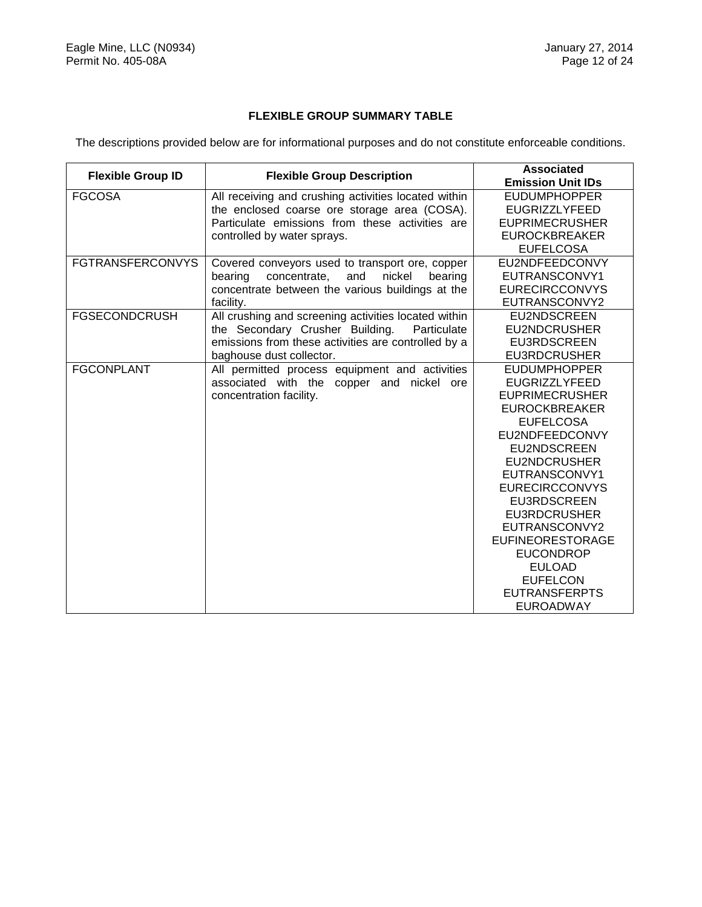### **FLEXIBLE GROUP SUMMARY TABLE**

The descriptions provided below are for informational purposes and do not constitute enforceable conditions.

|                         | <b>Flexible Group ID</b><br><b>Flexible Group Description</b> |                          |
|-------------------------|---------------------------------------------------------------|--------------------------|
|                         |                                                               | <b>Emission Unit IDs</b> |
| <b>FGCOSA</b>           | All receiving and crushing activities located within          | <b>EUDUMPHOPPER</b>      |
|                         | the enclosed coarse ore storage area (COSA).                  | <b>EUGRIZZLYFEED</b>     |
|                         | Particulate emissions from these activities are               | <b>EUPRIMECRUSHER</b>    |
|                         | controlled by water sprays.                                   | <b>EUROCKBREAKER</b>     |
|                         |                                                               | <b>EUFELCOSA</b>         |
| <b>FGTRANSFERCONVYS</b> | Covered conveyors used to transport ore, copper               | EU2NDFEEDCONVY           |
|                         | bearing<br>concentrate,<br>and<br>nickel<br>bearing           | EUTRANSCONVY1            |
|                         | concentrate between the various buildings at the              | <b>EURECIRCCONVYS</b>    |
|                         | facility.                                                     | EUTRANSCONVY2            |
| <b>FGSECONDCRUSH</b>    | All crushing and screening activities located within          | <b>EU2NDSCREEN</b>       |
|                         | the Secondary Crusher Building.<br>Particulate                | <b>EU2NDCRUSHER</b>      |
|                         | emissions from these activities are controlled by a           | <b>EU3RDSCREEN</b>       |
|                         | baghouse dust collector.                                      | <b>EU3RDCRUSHER</b>      |
| <b>FGCONPLANT</b>       | All permitted process equipment and activities                | <b>EUDUMPHOPPER</b>      |
|                         | associated with the copper and nickel ore                     | <b>EUGRIZZLYFEED</b>     |
|                         | concentration facility.                                       | <b>EUPRIMECRUSHER</b>    |
|                         |                                                               | <b>EUROCKBREAKER</b>     |
|                         |                                                               | <b>EUFELCOSA</b>         |
|                         |                                                               | EU2NDFEEDCONVY           |
|                         |                                                               | EU2NDSCREEN              |
|                         |                                                               | <b>EU2NDCRUSHER</b>      |
|                         |                                                               | EUTRANSCONVY1            |
|                         |                                                               | <b>EURECIRCCONVYS</b>    |
|                         |                                                               | <b>EU3RDSCREEN</b>       |
|                         |                                                               | <b>EU3RDCRUSHER</b>      |
|                         |                                                               | EUTRANSCONVY2            |
|                         |                                                               | <b>EUFINEORESTORAGE</b>  |
|                         |                                                               | <b>EUCONDROP</b>         |
|                         |                                                               | <b>EULOAD</b>            |
|                         |                                                               | <b>EUFELCON</b>          |
|                         |                                                               | <b>EUTRANSFERPTS</b>     |
|                         |                                                               | EUROADWAY                |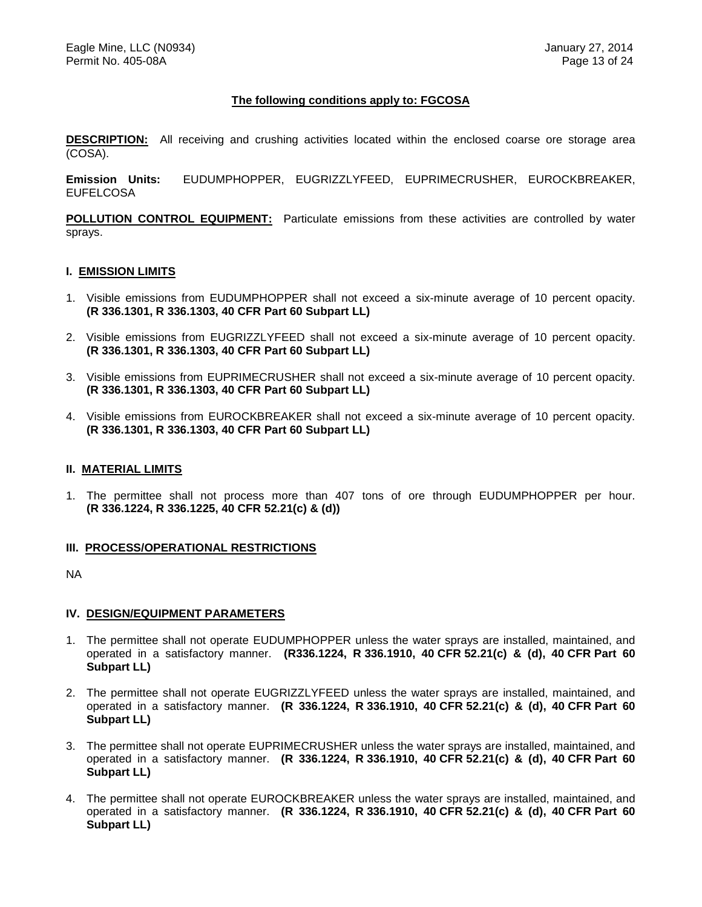#### **The following conditions apply to: FGCOSA**

**DESCRIPTION:** All receiving and crushing activities located within the enclosed coarse ore storage area (COSA).

**Emission Units:** EUDUMPHOPPER, EUGRIZZLYFEED, EUPRIMECRUSHER, EUROCKBREAKER, EUFELCOSA

**POLLUTION CONTROL EQUIPMENT:** Particulate emissions from these activities are controlled by water sprays.

#### **I. EMISSION LIMITS**

- 1. Visible emissions from EUDUMPHOPPER shall not exceed a six-minute average of 10 percent opacity. **(R 336.1301, R 336.1303, 40 CFR Part 60 Subpart LL)**
- 2. Visible emissions from EUGRIZZLYFEED shall not exceed a six-minute average of 10 percent opacity. **(R 336.1301, R 336.1303, 40 CFR Part 60 Subpart LL)**
- 3. Visible emissions from EUPRIMECRUSHER shall not exceed a six-minute average of 10 percent opacity. **(R 336.1301, R 336.1303, 40 CFR Part 60 Subpart LL)**
- 4. Visible emissions from EUROCKBREAKER shall not exceed a six-minute average of 10 percent opacity. **(R 336.1301, R 336.1303, 40 CFR Part 60 Subpart LL)**

#### **II. MATERIAL LIMITS**

1. The permittee shall not process more than 407 tons of ore through EUDUMPHOPPER per hour. **(R 336.1224, R 336.1225, 40 CFR 52.21(c) & (d))**

#### **III. PROCESS/OPERATIONAL RESTRICTIONS**

NA

#### **IV. DESIGN/EQUIPMENT PARAMETERS**

- 1. The permittee shall not operate EUDUMPHOPPER unless the water sprays are installed, maintained, and operated in a satisfactory manner. **(R336.1224, R 336.1910, 40 CFR 52.21(c) & (d), 40 CFR Part 60 Subpart LL)**
- 2. The permittee shall not operate EUGRIZZLYFEED unless the water sprays are installed, maintained, and operated in a satisfactory manner. **(R 336.1224, R 336.1910, 40 CFR 52.21(c) & (d), 40 CFR Part 60 Subpart LL)**
- 3. The permittee shall not operate EUPRIMECRUSHER unless the water sprays are installed, maintained, and operated in a satisfactory manner. **(R 336.1224, R 336.1910, 40 CFR 52.21(c) & (d), 40 CFR Part 60 Subpart LL)**
- 4. The permittee shall not operate EUROCKBREAKER unless the water sprays are installed, maintained, and operated in a satisfactory manner. **(R 336.1224, R 336.1910, 40 CFR 52.21(c) & (d), 40 CFR Part 60 Subpart LL)**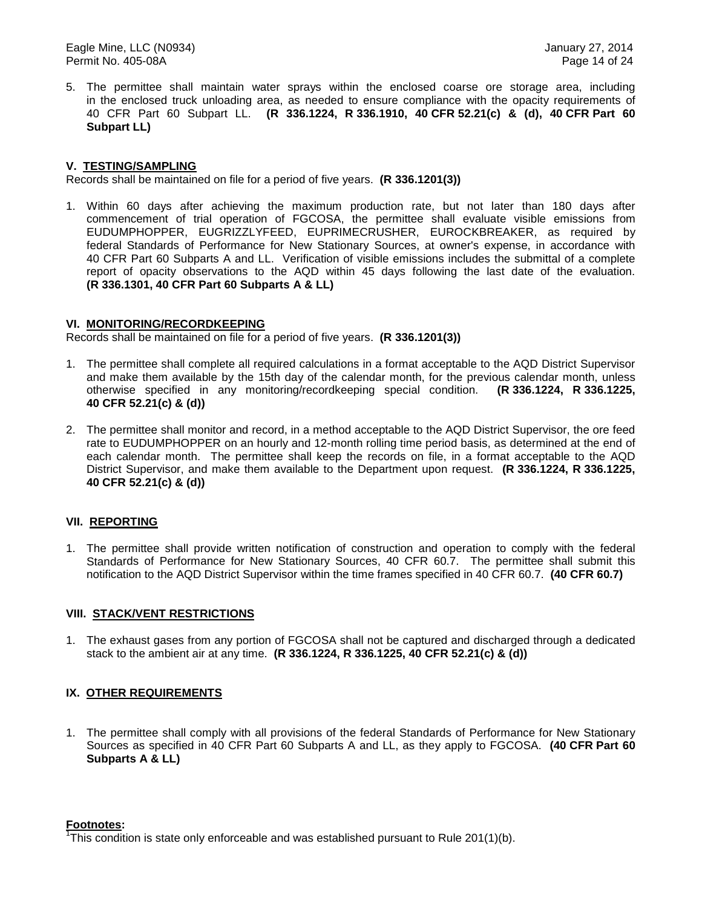5. The permittee shall maintain water sprays within the enclosed coarse ore storage area, including in the enclosed truck unloading area, as needed to ensure compliance with the opacity requirements of 40 CFR Part 60 Subpart LL. **(R 336.1224, R 336.1910, 40 CFR 52.21(c) & (d), 40 CFR Part 60 Subpart LL)**

#### **V. TESTING/SAMPLING**

Records shall be maintained on file for a period of five years. **(R 336.1201(3))**

1. Within 60 days after achieving the maximum production rate, but not later than 180 days after commencement of trial operation of FGCOSA, the permittee shall evaluate visible emissions from EUDUMPHOPPER, EUGRIZZLYFEED, EUPRIMECRUSHER, EUROCKBREAKER, as required by federal Standards of Performance for New Stationary Sources, at owner's expense, in accordance with 40 CFR Part 60 Subparts A and LL. Verification of visible emissions includes the submittal of a complete report of opacity observations to the AQD within 45 days following the last date of the evaluation. **(R 336.1301, 40 CFR Part 60 Subparts A & LL)**

#### **VI. MONITORING/RECORDKEEPING**

Records shall be maintained on file for a period of five years. **(R 336.1201(3))**

- 1. The permittee shall complete all required calculations in a format acceptable to the AQD District Supervisor and make them available by the 15th day of the calendar month, for the previous calendar month, unless otherwise specified in any monitoring/recordkeeping special condition. **(R 336.1224, R 336.1225, 40 CFR 52.21(c) & (d))**
- 2. The permittee shall monitor and record, in a method acceptable to the AQD District Supervisor, the ore feed rate to EUDUMPHOPPER on an hourly and 12-month rolling time period basis, as determined at the end of each calendar month. The permittee shall keep the records on file, in a format acceptable to the AQD District Supervisor, and make them available to the Department upon request. **(R 336.1224, R 336.1225, 40 CFR 52.21(c) & (d))**

#### **VII. REPORTING**

1. The permittee shall provide written notification of construction and operation to comply with the federal Standards of Performance for New Stationary Sources, 40 CFR 60.7. The permittee shall submit this notification to the AQD District Supervisor within the time frames specified in 40 CFR 60.7. **(40 CFR 60.7)**

#### **VIII. STACK/VENT RESTRICTIONS**

1. The exhaust gases from any portion of FGCOSA shall not be captured and discharged through a dedicated stack to the ambient air at any time. **(R 336.1224, R 336.1225, 40 CFR 52.21(c) & (d))**

#### **IX. OTHER REQUIREMENTS**

1. The permittee shall comply with all provisions of the federal Standards of Performance for New Stationary Sources as specified in 40 CFR Part 60 Subparts A and LL, as they apply to FGCOSA. **(40 CFR Part 60 Subparts A & LL)**

#### **Footnotes:**

<sup>1</sup>This condition is state only enforceable and was established pursuant to Rule 201(1)(b).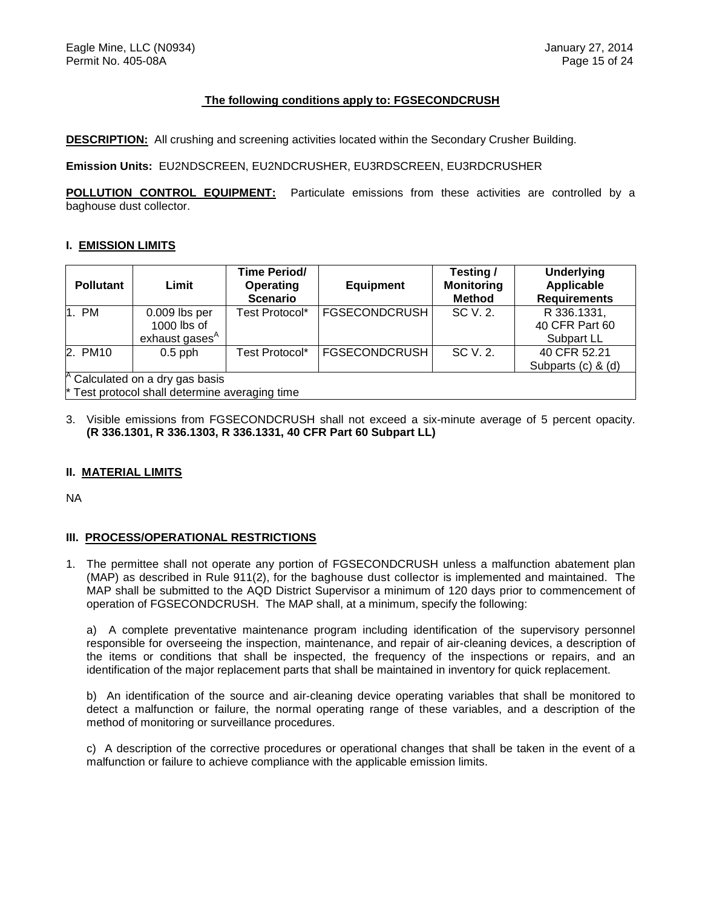#### **The following conditions apply to: FGSECONDCRUSH**

**DESCRIPTION:** All crushing and screening activities located within the Secondary Crusher Building.

**Emission Units:** EU2NDSCREEN, EU2NDCRUSHER, EU3RDSCREEN, EU3RDCRUSHER

**POLLUTION CONTROL EQUIPMENT:** Particulate emissions from these activities are controlled by a baghouse dust collector.

#### **I. EMISSION LIMITS**

| <b>Pollutant</b> | Limit                                                                                          | Time Period/<br>Operating<br><b>Scenario</b> | <b>Equipment</b>     | Testing /<br><b>Monitoring</b><br><b>Method</b> | <b>Underlying</b><br>Applicable<br><b>Requirements</b> |
|------------------|------------------------------------------------------------------------------------------------|----------------------------------------------|----------------------|-------------------------------------------------|--------------------------------------------------------|
| 1. PM            | 0.009 lbs per<br>$1000$ lbs of<br>exhaust gases <sup>A</sup>                                   | Test Protocol*                               | <b>FGSECONDCRUSH</b> | SC V. 2.                                        | R 336.1331,<br>40 CFR Part 60<br>Subpart LL            |
| 2. PM10          | $0.5$ pph                                                                                      | Test Protocol*                               | <b>FGSECONDCRUSH</b> | SC V. 2.                                        | 40 CFR 52.21<br>Subparts (c) & (d)                     |
|                  | <sup>A</sup> Calculated on a dry gas basis<br>$*$ Test protocol shall determine averaging time |                                              |                      |                                                 |                                                        |

3. Visible emissions from FGSECONDCRUSH shall not exceed a six-minute average of 5 percent opacity. **(R 336.1301, R 336.1303, R 336.1331, 40 CFR Part 60 Subpart LL)**

#### **II. MATERIAL LIMITS**

NA

#### **III. PROCESS/OPERATIONAL RESTRICTIONS**

1. The permittee shall not operate any portion of FGSECONDCRUSH unless a malfunction abatement plan (MAP) as described in Rule 911(2), for the baghouse dust collector is implemented and maintained. The MAP shall be submitted to the AQD District Supervisor a minimum of 120 days prior to commencement of operation of FGSECONDCRUSH. The MAP shall, at a minimum, specify the following:

a) A complete preventative maintenance program including identification of the supervisory personnel responsible for overseeing the inspection, maintenance, and repair of air-cleaning devices, a description of the items or conditions that shall be inspected, the frequency of the inspections or repairs, and an identification of the major replacement parts that shall be maintained in inventory for quick replacement.

b) An identification of the source and air-cleaning device operating variables that shall be monitored to detect a malfunction or failure, the normal operating range of these variables, and a description of the method of monitoring or surveillance procedures.

c) A description of the corrective procedures or operational changes that shall be taken in the event of a malfunction or failure to achieve compliance with the applicable emission limits.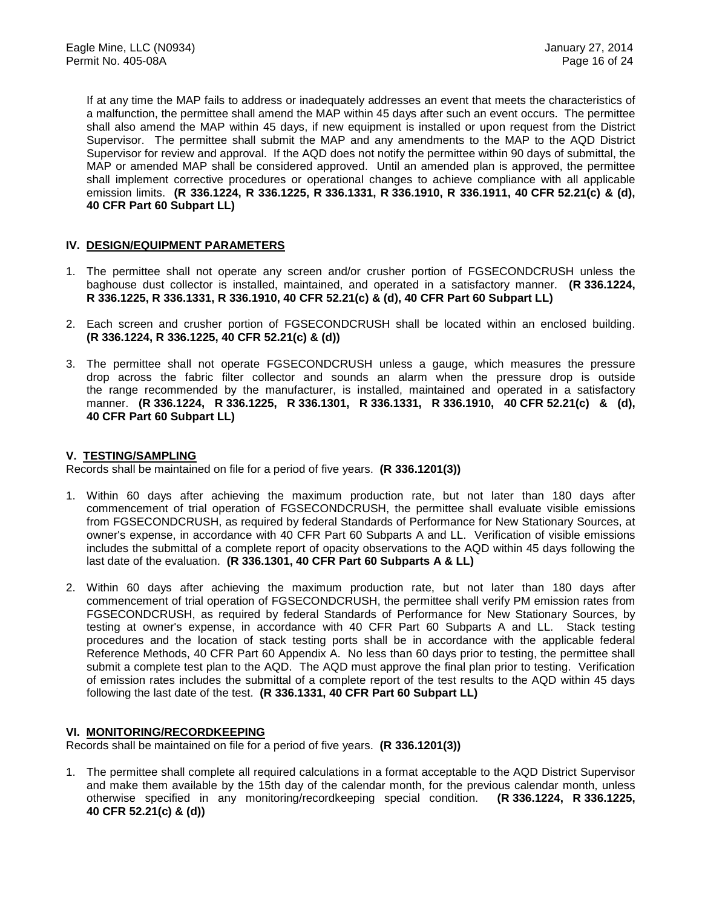If at any time the MAP fails to address or inadequately addresses an event that meets the characteristics of a malfunction, the permittee shall amend the MAP within 45 days after such an event occurs. The permittee shall also amend the MAP within 45 days, if new equipment is installed or upon request from the District Supervisor. The permittee shall submit the MAP and any amendments to the MAP to the AQD District Supervisor for review and approval. If the AQD does not notify the permittee within 90 days of submittal, the MAP or amended MAP shall be considered approved. Until an amended plan is approved, the permittee shall implement corrective procedures or operational changes to achieve compliance with all applicable emission limits. **(R 336.1224, R 336.1225, R 336.1331, R 336.1910, R 336.1911, 40 CFR 52.21(c) & (d), 40 CFR Part 60 Subpart LL)**

#### **IV. DESIGN/EQUIPMENT PARAMETERS**

- 1. The permittee shall not operate any screen and/or crusher portion of FGSECONDCRUSH unless the baghouse dust collector is installed, maintained, and operated in a satisfactory manner. **(R 336.1224, R 336.1225, R 336.1331, R 336.1910, 40 CFR 52.21(c) & (d), 40 CFR Part 60 Subpart LL)**
- 2. Each screen and crusher portion of FGSECONDCRUSH shall be located within an enclosed building. **(R 336.1224, R 336.1225, 40 CFR 52.21(c) & (d))**
- 3. The permittee shall not operate FGSECONDCRUSH unless a gauge, which measures the pressure drop across the fabric filter collector and sounds an alarm when the pressure drop is outside the range recommended by the manufacturer, is installed, maintained and operated in a satisfactory manner. **(R 336.1224, R 336.1225, R 336.1301, R 336.1331, R 336.1910, 40 CFR 52.21(c) & (d), 40 CFR Part 60 Subpart LL)**

### **V. TESTING/SAMPLING**

Records shall be maintained on file for a period of five years. **(R 336.1201(3))**

- 1. Within 60 days after achieving the maximum production rate, but not later than 180 days after commencement of trial operation of FGSECONDCRUSH, the permittee shall evaluate visible emissions from FGSECONDCRUSH, as required by federal Standards of Performance for New Stationary Sources, at owner's expense, in accordance with 40 CFR Part 60 Subparts A and LL. Verification of visible emissions includes the submittal of a complete report of opacity observations to the AQD within 45 days following the last date of the evaluation. **(R 336.1301, 40 CFR Part 60 Subparts A & LL)**
- 2. Within 60 days after achieving the maximum production rate, but not later than 180 days after commencement of trial operation of FGSECONDCRUSH, the permittee shall verify PM emission rates from FGSECONDCRUSH, as required by federal Standards of Performance for New Stationary Sources, by testing at owner's expense, in accordance with 40 CFR Part 60 Subparts A and LL. Stack testing procedures and the location of stack testing ports shall be in accordance with the applicable federal Reference Methods, 40 CFR Part 60 Appendix A. No less than 60 days prior to testing, the permittee shall submit a complete test plan to the AQD. The AQD must approve the final plan prior to testing. Verification of emission rates includes the submittal of a complete report of the test results to the AQD within 45 days following the last date of the test. **(R 336.1331, 40 CFR Part 60 Subpart LL)**

#### **VI. MONITORING/RECORDKEEPING**

Records shall be maintained on file for a period of five years. **(R 336.1201(3))**

1. The permittee shall complete all required calculations in a format acceptable to the AQD District Supervisor and make them available by the 15th day of the calendar month, for the previous calendar month, unless otherwise specified in any monitoring/recordkeeping special condition. **(R 336.1224, R 336.1225, 40 CFR 52.21(c) & (d))**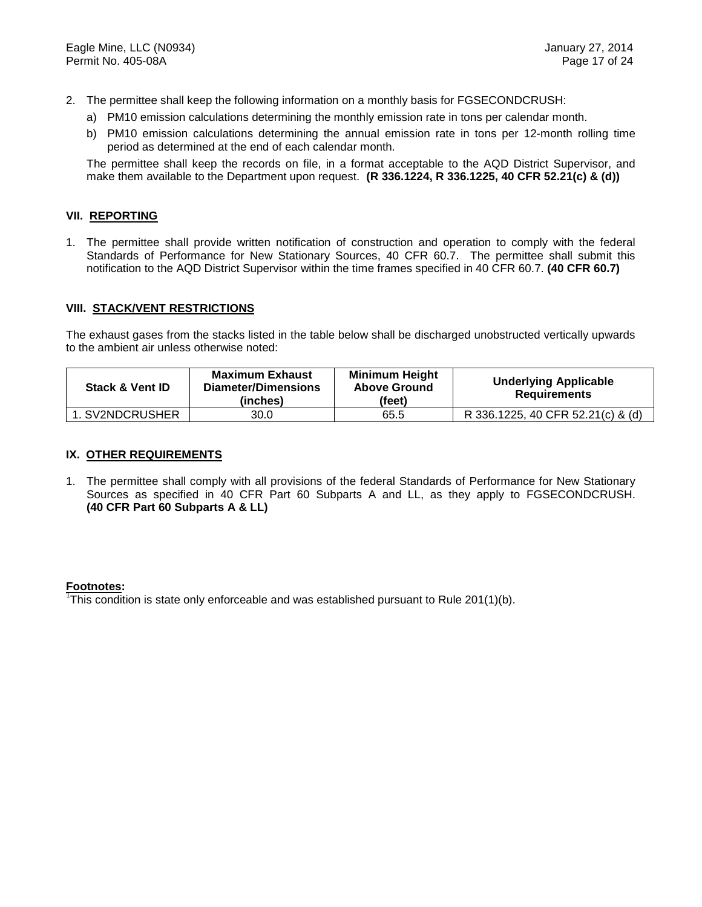- 2. The permittee shall keep the following information on a monthly basis for FGSECONDCRUSH:
	- a) PM10 emission calculations determining the monthly emission rate in tons per calendar month.
	- b) PM10 emission calculations determining the annual emission rate in tons per 12-month rolling time period as determined at the end of each calendar month.

The permittee shall keep the records on file, in a format acceptable to the AQD District Supervisor, and make them available to the Department upon request. **(R 336.1224, R 336.1225, 40 CFR 52.21(c) & (d))**

#### **VII. REPORTING**

1. The permittee shall provide written notification of construction and operation to comply with the federal Standards of Performance for New Stationary Sources, 40 CFR 60.7. The permittee shall submit this notification to the AQD District Supervisor within the time frames specified in 40 CFR 60.7. **(40 CFR 60.7)**

#### **VIII. STACK/VENT RESTRICTIONS**

The exhaust gases from the stacks listed in the table below shall be discharged unobstructed vertically upwards to the ambient air unless otherwise noted:

| <b>Stack &amp; Vent ID</b> | <b>Maximum Exhaust</b><br>Diameter/Dimensions<br>(inches) | <b>Minimum Height</b><br><b>Above Ground</b><br>(feet) | <b>Underlying Applicable</b><br><b>Requirements</b> |
|----------------------------|-----------------------------------------------------------|--------------------------------------------------------|-----------------------------------------------------|
| 1. SV2NDCRUSHER            | 30.0                                                      | 65.5                                                   | R 336.1225, 40 CFR 52.21(c) & (d)                   |

#### **IX. OTHER REQUIREMENTS**

1. The permittee shall comply with all provisions of the federal Standards of Performance for New Stationary Sources as specified in 40 CFR Part 60 Subparts A and LL, as they apply to FGSECONDCRUSH. **(40 CFR Part 60 Subparts A & LL)**

#### **Footnotes:**

<sup>1</sup>This condition is state only enforceable and was established pursuant to Rule 201(1)(b).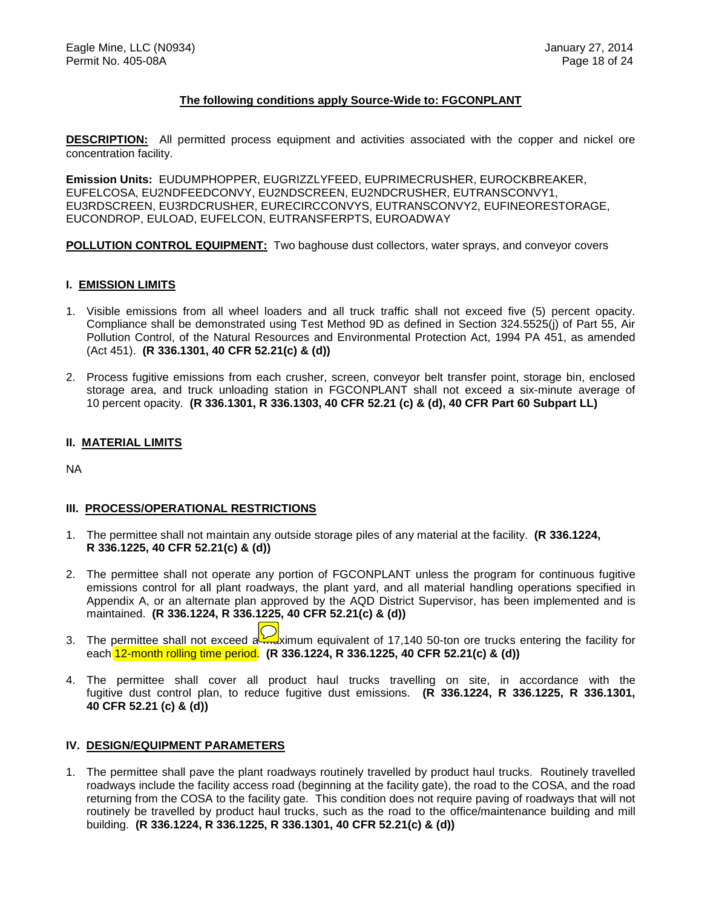#### **The following conditions apply Source-Wide to: FGCONPLANT**

**DESCRIPTION:** All permitted process equipment and activities associated with the copper and nickel ore concentration facility.

**Emission Units:** EUDUMPHOPPER, EUGRIZZLYFEED, EUPRIMECRUSHER, EUROCKBREAKER, EUFELCOSA, EU2NDFEEDCONVY, EU2NDSCREEN, EU2NDCRUSHER, EUTRANSCONVY1, EU3RDSCREEN, EU3RDCRUSHER, EURECIRCCONVYS, EUTRANSCONVY2, EUFINEORESTORAGE, EUCONDROP, EULOAD, EUFELCON, EUTRANSFERPTS, EUROADWAY

**POLLUTION CONTROL EQUIPMENT:** Two baghouse dust collectors, water sprays, and conveyor covers

#### **I. EMISSION LIMITS**

- 1. Visible emissions from all wheel loaders and all truck traffic shall not exceed five (5) percent opacity. Compliance shall be demonstrated using Test Method 9D as defined in Section 324.5525(j) of Part 55, Air Pollution Control, of the Natural Resources and Environmental Protection Act, 1994 PA 451, as amended (Act 451). **(R 336.1301, 40 CFR 52.21(c) & (d))**
- 2. Process fugitive emissions from each crusher, screen, conveyor belt transfer point, storage bin, enclosed storage area, and truck unloading station in FGCONPLANT shall not exceed a six-minute average of 10 percent opacity. **(R 336.1301, R 336.1303, 40 CFR 52.21 (c) & (d), 40 CFR Part 60 Subpart LL)**

#### **II. MATERIAL LIMITS**

NA

#### **III. PROCESS/OPERATIONAL RESTRICTIONS**

- 1. The permittee shall not maintain any outside storage piles of any material at the facility. **(R 336.1224, R 336.1225, 40 CFR 52.21(c) & (d))**
- 2. The permittee shall not operate any portion of FGCONPLANT unless the program for continuous fugitive emissions control for all plant roadways, the plant yard, and all material handling operations specified in Appendix A, or an alternate plan approved by the AQD District Supervisor, has been implemented and is maintained. **(R 336.1224, R 336.1225, 40 CFR 52.21(c) & (d))**
- 3. The permittee shall not exceed a  $\frac{1}{2}$  maximum equivalent of 17,140 50-ton ore trucks entering the facility for each 12-month rolling time period. **(R 336.1224, R 336.1225, 40 CFR 52.21(c) & (d))**
- 4. The permittee shall cover all product haul trucks travelling on site, in accordance with the fugitive dust control plan, to reduce fugitive dust emissions. **(R 336.1224, R 336.1225, R 336.1301, 40 CFR 52.21 (c) & (d))**

#### **IV. DESIGN/EQUIPMENT PARAMETERS**

1. The permittee shall pave the plant roadways routinely travelled by product haul trucks. Routinely travelled roadways include the facility access road (beginning at the facility gate), the road to the COSA, and the road returning from the COSA to the facility gate. This condition does not require paving of roadways that will not routinely be travelled by product haul trucks, such as the road to the office/maintenance building and mill building. **(R 336.1224, R 336.1225, R 336.1301, 40 CFR 52.21(c) & (d))**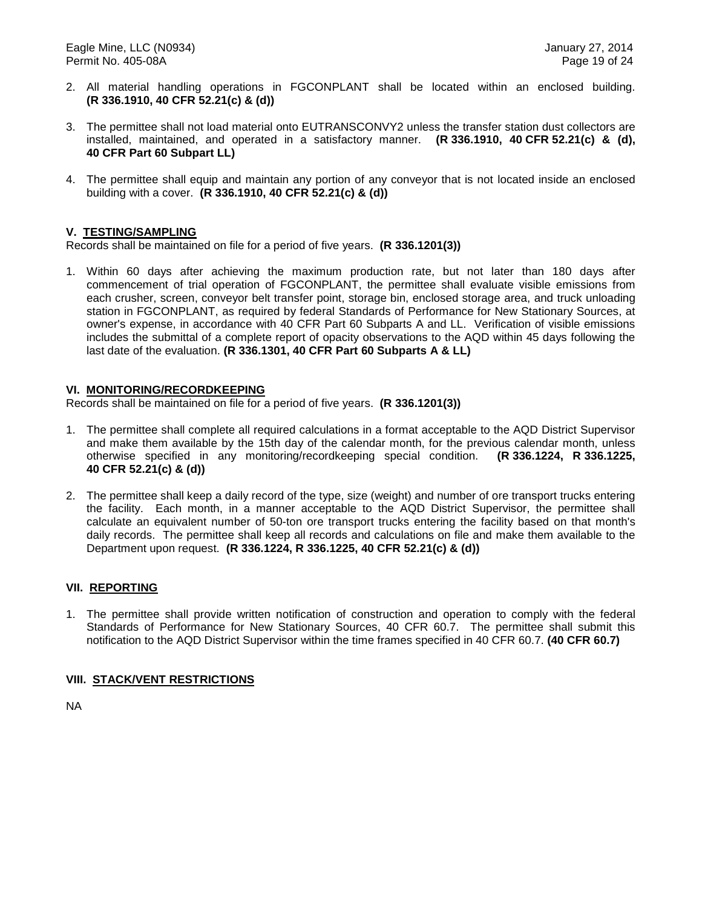- 2. All material handling operations in FGCONPLANT shall be located within an enclosed building. **(R 336.1910, 40 CFR 52.21(c) & (d))**
- 3. The permittee shall not load material onto EUTRANSCONVY2 unless the transfer station dust collectors are installed, maintained, and operated in a satisfactory manner. **(R 336.1910, 40 CFR 52.21(c) & (d), 40 CFR Part 60 Subpart LL)**
- 4. The permittee shall equip and maintain any portion of any conveyor that is not located inside an enclosed building with a cover. **(R 336.1910, 40 CFR 52.21(c) & (d))**

#### **V. TESTING/SAMPLING**

Records shall be maintained on file for a period of five years. **(R 336.1201(3))**

1. Within 60 days after achieving the maximum production rate, but not later than 180 days after commencement of trial operation of FGCONPLANT, the permittee shall evaluate visible emissions from each crusher, screen, conveyor belt transfer point, storage bin, enclosed storage area, and truck unloading station in FGCONPLANT, as required by federal Standards of Performance for New Stationary Sources, at owner's expense, in accordance with 40 CFR Part 60 Subparts A and LL. Verification of visible emissions includes the submittal of a complete report of opacity observations to the AQD within 45 days following the last date of the evaluation. **(R 336.1301, 40 CFR Part 60 Subparts A & LL)**

#### **VI. MONITORING/RECORDKEEPING**

Records shall be maintained on file for a period of five years. **(R 336.1201(3))**

- 1. The permittee shall complete all required calculations in a format acceptable to the AQD District Supervisor and make them available by the 15th day of the calendar month, for the previous calendar month, unless otherwise specified in any monitoring/recordkeeping special condition. **(R 336.1224, R 336.1225, 40 CFR 52.21(c) & (d))**
- 2. The permittee shall keep a daily record of the type, size (weight) and number of ore transport trucks entering the facility. Each month, in a manner acceptable to the AQD District Supervisor, the permittee shall calculate an equivalent number of 50-ton ore transport trucks entering the facility based on that month's daily records. The permittee shall keep all records and calculations on file and make them available to the Department upon request. **(R 336.1224, R 336.1225, 40 CFR 52.21(c) & (d))**

#### **VII. REPORTING**

1. The permittee shall provide written notification of construction and operation to comply with the federal Standards of Performance for New Stationary Sources, 40 CFR 60.7. The permittee shall submit this notification to the AQD District Supervisor within the time frames specified in 40 CFR 60.7. **(40 CFR 60.7)**

#### **VIII. STACK/VENT RESTRICTIONS**

NA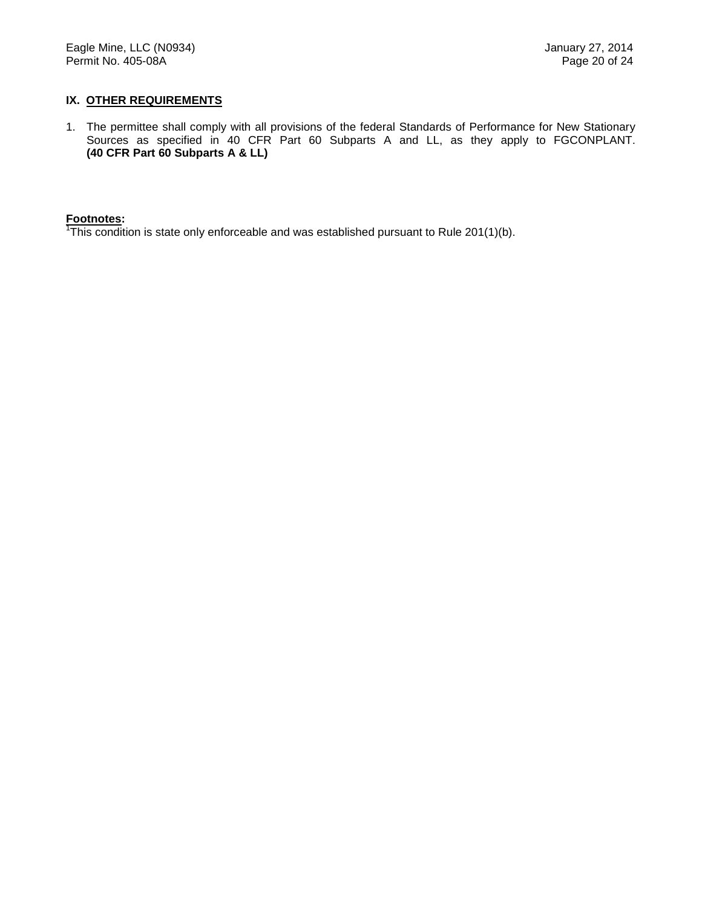#### **IX. OTHER REQUIREMENTS**

1. The permittee shall comply with all provisions of the federal Standards of Performance for New Stationary Sources as specified in 40 CFR Part 60 Subparts A and LL, as they apply to FGCONPLANT. **(40 CFR Part 60 Subparts A & LL)**

**Footnotes:** 1 This condition is state only enforceable and was established pursuant to Rule 201(1)(b).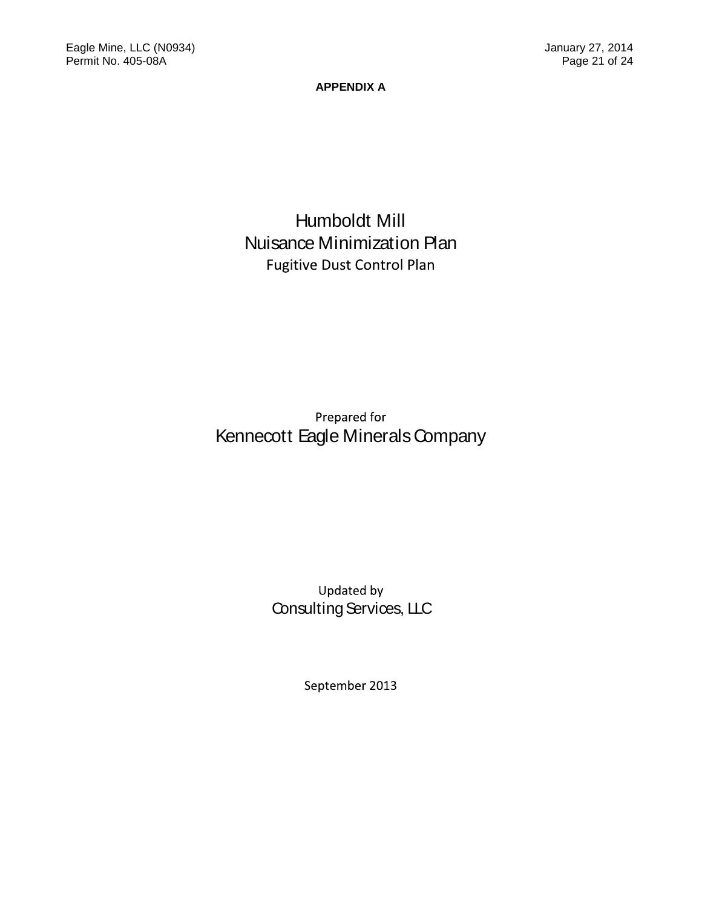**APPENDIX A**

# Humboldt Mill Nuisance Minimization Plan Fugitive Dust Control Plan

Kennecott Eagle Minerals Company Prepared for

> Consulting Services, LLC Updated by

> > September 2013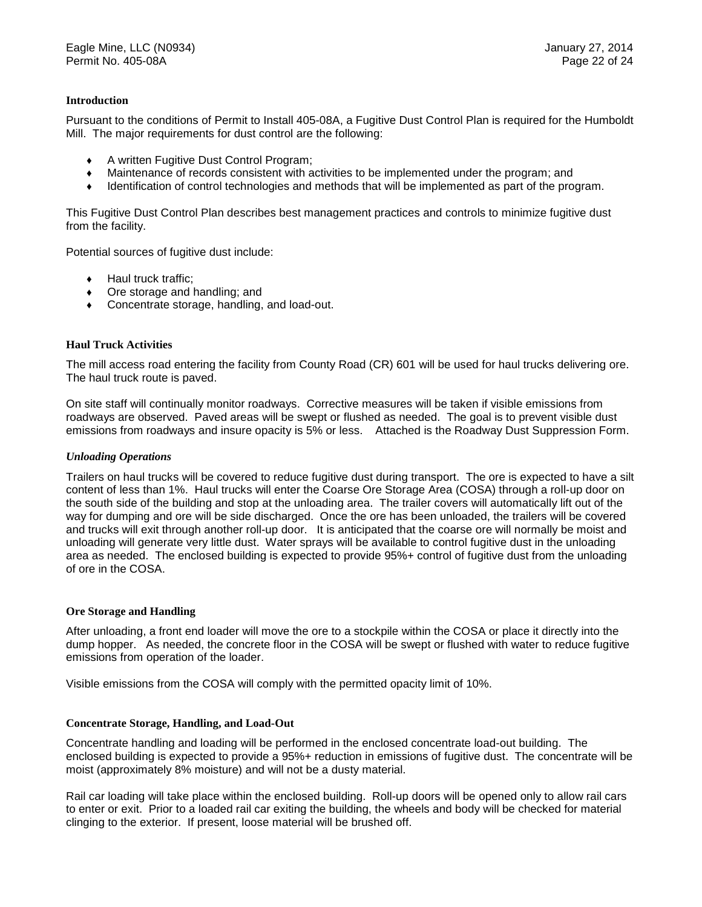#### **Introduction**

Pursuant to the conditions of Permit to Install 405-08A, a Fugitive Dust Control Plan is required for the Humboldt Mill. The major requirements for dust control are the following:

- ♦ A written Fugitive Dust Control Program;
- ♦ Maintenance of records consistent with activities to be implemented under the program; and
- ♦ Identification of control technologies and methods that will be implemented as part of the program.

This Fugitive Dust Control Plan describes best management practices and controls to minimize fugitive dust from the facility.

Potential sources of fugitive dust include:

- ♦ Haul truck traffic;
- ♦ Ore storage and handling; and
- ♦ Concentrate storage, handling, and load-out.

#### **Haul Truck Activities**

The mill access road entering the facility from County Road (CR) 601 will be used for haul trucks delivering ore. The haul truck route is paved.

On site staff will continually monitor roadways. Corrective measures will be taken if visible emissions from roadways are observed. Paved areas will be swept or flushed as needed. The goal is to prevent visible dust emissions from roadways and insure opacity is 5% or less. Attached is the Roadway Dust Suppression Form.

#### *Unloading Operations*

Trailers on haul trucks will be covered to reduce fugitive dust during transport. The ore is expected to have a silt content of less than 1%. Haul trucks will enter the Coarse Ore Storage Area (COSA) through a roll-up door on the south side of the building and stop at the unloading area. The trailer covers will automatically lift out of the way for dumping and ore will be side discharged. Once the ore has been unloaded, the trailers will be covered and trucks will exit through another roll-up door. It is anticipated that the coarse ore will normally be moist and unloading will generate very little dust. Water sprays will be available to control fugitive dust in the unloading area as needed. The enclosed building is expected to provide 95%+ control of fugitive dust from the unloading of ore in the COSA.

#### **Ore Storage and Handling**

After unloading, a front end loader will move the ore to a stockpile within the COSA or place it directly into the dump hopper. As needed, the concrete floor in the COSA will be swept or flushed with water to reduce fugitive emissions from operation of the loader.

Visible emissions from the COSA will comply with the permitted opacity limit of 10%.

#### **Concentrate Storage, Handling, and Load-Out**

Concentrate handling and loading will be performed in the enclosed concentrate load-out building. The enclosed building is expected to provide a 95%+ reduction in emissions of fugitive dust. The concentrate will be moist (approximately 8% moisture) and will not be a dusty material.

Rail car loading will take place within the enclosed building. Roll-up doors will be opened only to allow rail cars to enter or exit. Prior to a loaded rail car exiting the building, the wheels and body will be checked for material clinging to the exterior. If present, loose material will be brushed off.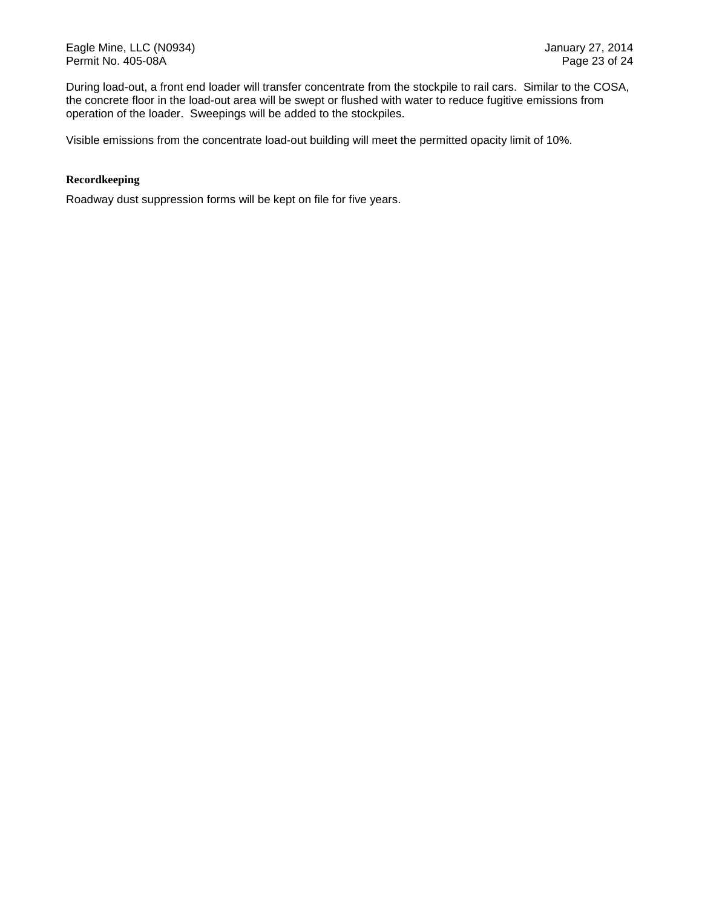Eagle Mine, LLC (N0934) **Fagle Mine, LLC (N0934)** January 27, 2014 Permit No. 405-08A Page 23 of 24

During load-out, a front end loader will transfer concentrate from the stockpile to rail cars. Similar to the COSA, the concrete floor in the load-out area will be swept or flushed with water to reduce fugitive emissions from operation of the loader. Sweepings will be added to the stockpiles.

Visible emissions from the concentrate load-out building will meet the permitted opacity limit of 10%.

#### **Recordkeeping**

Roadway dust suppression forms will be kept on file for five years.